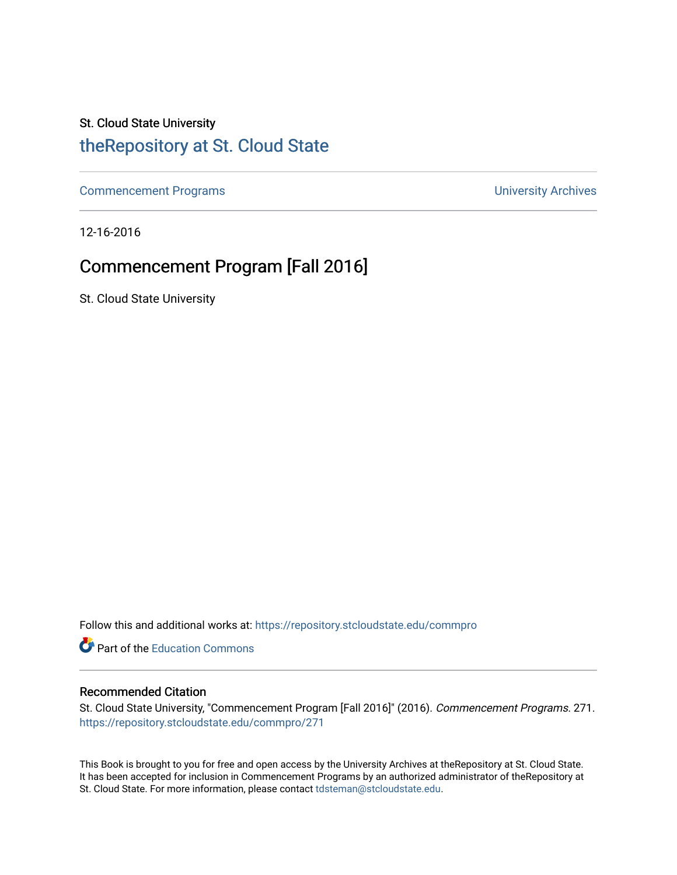## St. Cloud State University

## [theRepository at St. Cloud State](https://repository.stcloudstate.edu/)

[Commencement Programs](https://repository.stcloudstate.edu/commpro) **Commencement Programs University Archives** 

12-16-2016

## Commencement Program [Fall 2016]

St. Cloud State University

Follow this and additional works at: [https://repository.stcloudstate.edu/commpro](https://repository.stcloudstate.edu/commpro?utm_source=repository.stcloudstate.edu%2Fcommpro%2F271&utm_medium=PDF&utm_campaign=PDFCoverPages) 

Part of the [Education Commons](http://network.bepress.com/hgg/discipline/784?utm_source=repository.stcloudstate.edu%2Fcommpro%2F271&utm_medium=PDF&utm_campaign=PDFCoverPages)

#### Recommended Citation

St. Cloud State University, "Commencement Program [Fall 2016]" (2016). Commencement Programs. 271. [https://repository.stcloudstate.edu/commpro/271](https://repository.stcloudstate.edu/commpro/271?utm_source=repository.stcloudstate.edu%2Fcommpro%2F271&utm_medium=PDF&utm_campaign=PDFCoverPages) 

This Book is brought to you for free and open access by the University Archives at theRepository at St. Cloud State. It has been accepted for inclusion in Commencement Programs by an authorized administrator of theRepository at St. Cloud State. For more information, please contact [tdsteman@stcloudstate.edu.](mailto:tdsteman@stcloudstate.edu)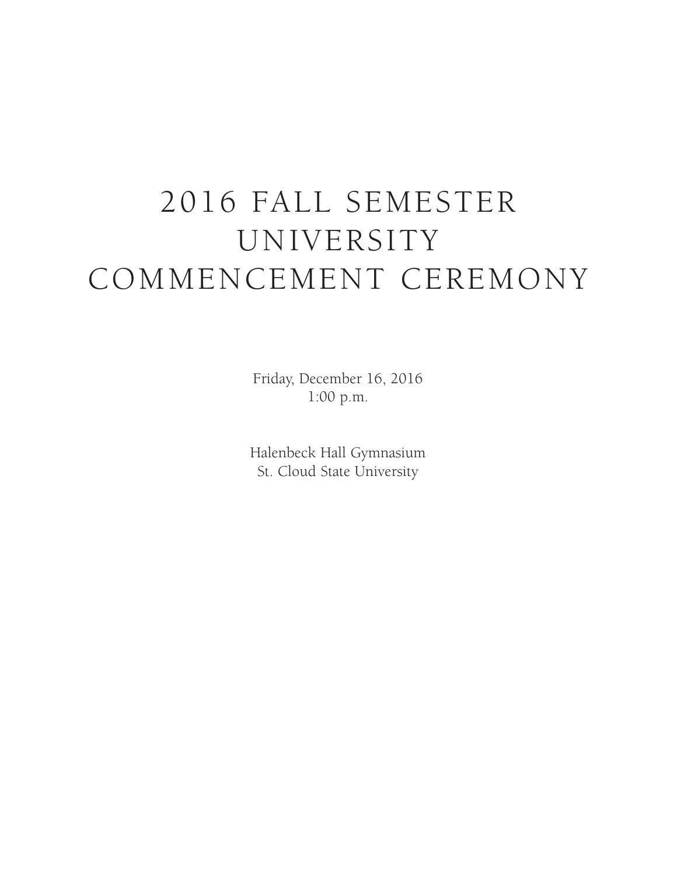# 2016 FALL SEMESTER UNIVERSITY COMMENCEMENT CEREMONY

Friday, December 16, 2016 1:00 p.m.

Halenbeck Hall Gymnasium St. Cloud State University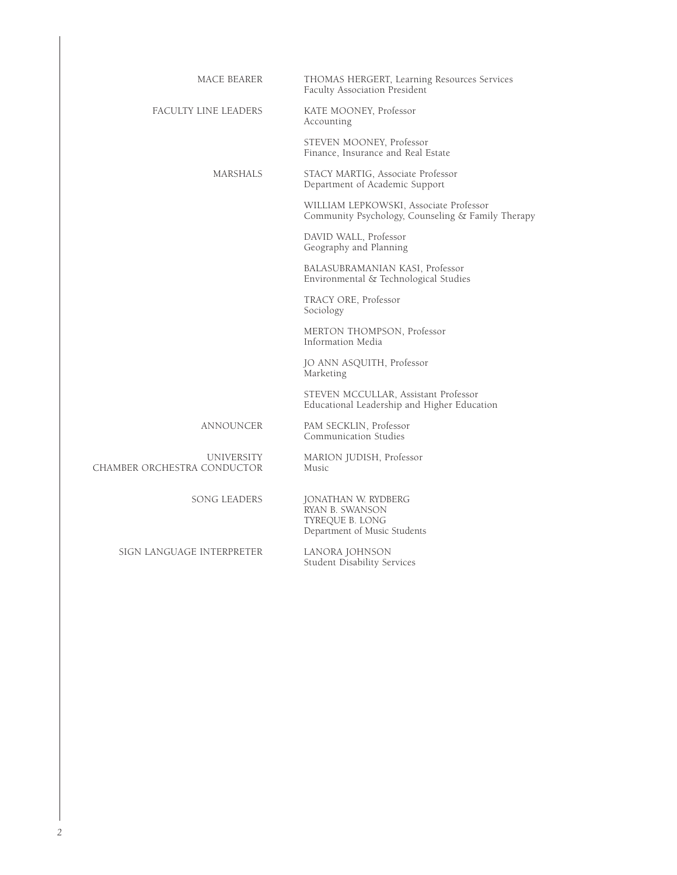| MACE BEARER                                      | THOMAS HERGERT, Learning Resources Services<br>Faculty Association President                |
|--------------------------------------------------|---------------------------------------------------------------------------------------------|
| FACULTY LINE LEADERS                             | KATE MOONEY, Professor<br>Accounting                                                        |
|                                                  | STEVEN MOONEY, Professor<br>Finance, Insurance and Real Estate                              |
| <b>MARSHALS</b>                                  | STACY MARTIG, Associate Professor<br>Department of Academic Support                         |
|                                                  | WILLIAM LEPKOWSKI, Associate Professor<br>Community Psychology, Counseling & Family Therapy |
|                                                  | DAVID WALL, Professor<br>Geography and Planning                                             |
|                                                  | BALASUBRAMANIAN KASI, Professor<br>Environmental & Technological Studies                    |
|                                                  | TRACY ORE, Professor<br>Sociology                                                           |
|                                                  | MERTON THOMPSON, Professor<br>Information Media                                             |
|                                                  | JO ANN ASQUITH, Professor<br>Marketing                                                      |
|                                                  | STEVEN MCCULLAR, Assistant Professor<br>Educational Leadership and Higher Education         |
| ANNOUNCER                                        | PAM SECKLIN, Professor<br>Communication Studies                                             |
| <b>UNIVERSITY</b><br>CHAMBER ORCHESTRA CONDUCTOR | MARION JUDISH, Professor<br>Music                                                           |
| <b>SONG LEADERS</b>                              | JONATHAN W. RYDBERG<br>RYAN B. SWANSON<br>TYREQUE B. LONG<br>Department of Music Students   |
| SIGN LANGUAGE INTERPRETER                        | LANORA JOHNSON<br><b>Student Disability Services</b>                                        |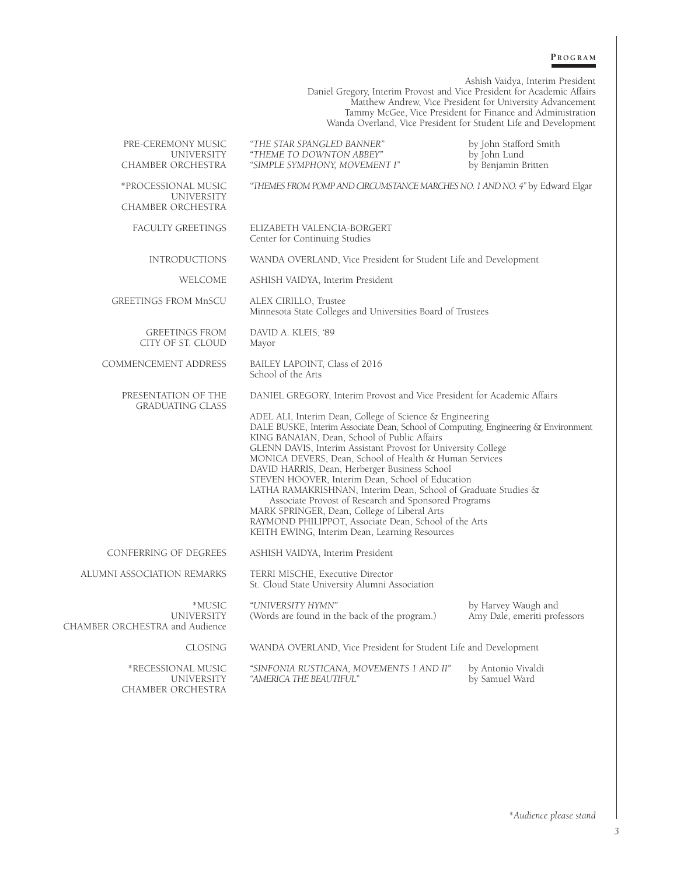#### **P r o g r a m**

Ashish Vaidya, Interim President Daniel Gregory, Interim Provost and Vice President for Academic Affairs Matthew Andrew, Vice President for University Advancement Tammy McGee, Vice President for Finance and Administration Wanda Overland, Vice President for Student Life and Development PRE-CEREMONY MUSIC *"THE STAR SPANGLED BANNER"* by John Stafford Smith UNIVERSITY *"THEME TO DOWNTON ABBEY"* by John Lund "SIMPLE SYMPHONY, MOVEMENT I" \*PROCESSIONAL MUSIC *"THEMES FROM POMP AND CIRCUMSTANCE MARCHES NO. 1 AND NO. 4"* by Edward Elgar UNIVERSITY CHAMBER ORCHESTRA FACULTY GREETINGS ELIZABETH VALENCIA-BORGERT Center for Continuing Studies INTRODUCTIONS WANDA OVERLAND, Vice President for Student Life and Development WELCOME ASHISH VAIDYA, Interim President GREETINGS FROM MnSCU ALEX CIRILLO, Trustee Minnesota State Colleges and Universities Board of Trustees GREETINGS FROM DAVID A. KLEIS, '89 CITY OF ST. CLOUD Mayor COMMENCEMENT ADDRESS BAILEY LAPOINT, Class of 2016 School of the Arts PRESENTATION OF THE DANIEL GREGORY, Interim Provost and Vice President for Academic Affairs GRADUATING CLASS ADEL ALI, Interim Dean, College of Science & Engineering DALE BUSKE, Interim Associate Dean, School of Computing, Engineering & Environment KING BANAIAN, Dean, School of Public Affairs GLENN DAVIS, Interim Assistant Provost for University College MONICA DEVERS, Dean, School of Health & Human Services DAVID HARRIS, Dean, Herberger Business School STEVEN HOOVER, Interim Dean, School of Education LATHA RAMAKRISHNAN, Interim Dean, School of Graduate Studies & Associate Provost of Research and Sponsored Programs MARK SPRINGER, Dean, College of Liberal Arts RAYMOND PHILIPPOT, Associate Dean, School of the Arts KEITH EWING, Interim Dean, Learning Resources CONFERRING OF DEGREES ASHISH VAIDYA, Interim President ALUMNI ASSOCIATION REMARKS TERRI MISCHE, Executive Director St. Cloud State University Alumni Association \*MUSIC *"UNIVERSITY HYMN"* by Harvey Waugh and (Words are found in the back of the program.) Amy Dale, emeriti professors CHAMBER ORCHESTRA and Audience CLOSING WANDA OVERLAND, Vice President for Student Life and Development \*RECESSIONAL MUSIC *"SINFONIA RUSTICANA, MOVEMENTS 1 AND II"* by Antonio Vivaldi "AMERICA THE BEAUTIFUL"

CHAMBER ORCHESTRA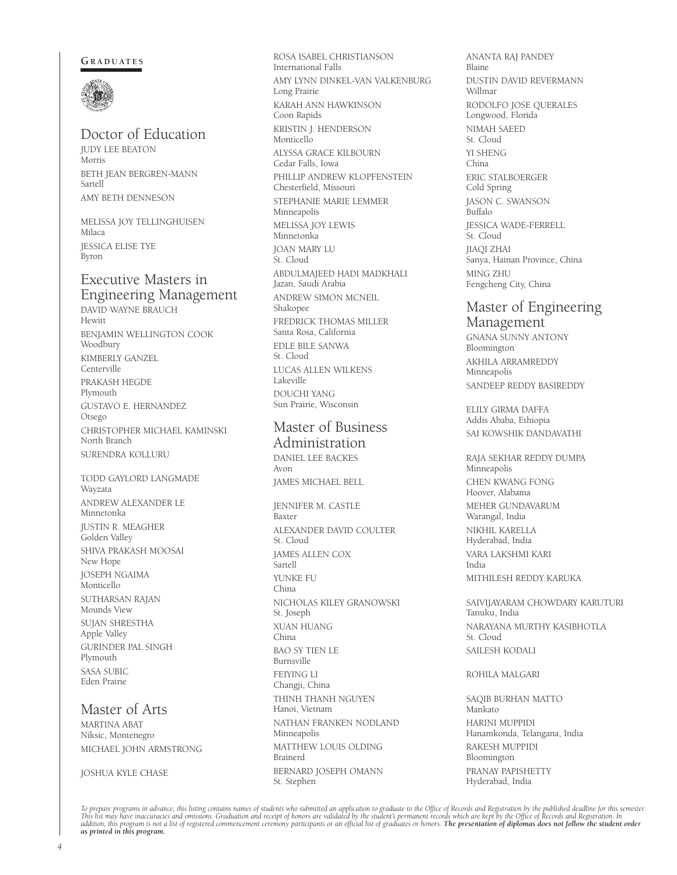#### GRADUATES



## Doctor of Education

JUDY LEE BEATON Morris BETH JEAN BERGREN-MANN Sartell AMY BETH DENNESON

MELISSA JOY TELLINGHUISEN Milaca JESSICA ELISE TYE Byron

## Executive Masters in Engineering Management

DAVID WAYNE BRAUCH Hewitt BENJAMIN WELLINGTON COOK Woodbury KIMBERLY GANZEL Centerville PRAKASH HEGDE Plymouth GUSTAVO E. HERNANDEZ Otsego CHRISTOPHER MICHAEL KAMINSKI North Branch SURENDRA KOLLURU

TODD GAYLORD LANGMADE Wayzata ANDREW ALEXANDER LE Minnetonka JUSTIN R. MEAGHER Golden Valley SHIVA PRAKASH MOOSAI New Hope JOSEPH NGAIMA Monticello SUTHARSAN RAJAN Mounds View SUJAN SHRESTHA Apple Valley GURINDER PAL SINGH Plymouth SASA SUBIC Eden Prairie

## Master of Arts

MARTINA ABAT Niksic, Montenegro MICHAEL JOHN ARMSTRONG

#### JOSHUA KYLE CHASE

ROSA ISABEL CHRISTIANSON International Falls AMY LYNN DINKEL-VAN VALKENBURG Long Prairie KARAH ANN HAWKINSON Coon Rapids KRISTIN J. HENDERSON Monticello ALYSSA GRACE KILBOURN Cedar Falls, Iowa PHILLIP ANDREW KLOPFENSTEIN Chesterfield, Missouri STEPHANIE MARIE LEMMER Minneapolis MELISSA JOY LEWIS Minnetonka JOAN MARY LU St. Cloud ABDULMAJEED HADI MADKHALI Jazan, Saudi Arabia ANDREW SIMON MCNEIL Shakopee FREDRICK THOMAS MILLER Santa Rosa, California EDLE BILE SANWA St. Cloud LUCAS ALLEN WILKENS Lakeville DOUCHI YANG Sun Prairie, Wisconsin

## Master of Business Administration DANIEL LEE BACKES

Avon JAMES MICHAEL BELL

JENNIFER M. CASTLE Baxter ALEXANDER DAVID COULTER St. Cloud JAMES ALLEN COX Sartell YUNKE FU China NICHOLAS KILEY GRANOWSKI St. Joseph XUAN HUANG China BAO SY TIEN LE Burnsville FEIYING LI Changji, China THINH THANH NGUYEN Hanoi, Vietnam NATHAN FRANKEN NODLAND Minneapolis MATTHEW LOUIS OLDING Brainerd BERNARD JOSEPH OMANN St. Stephen

ANANTA RAJ PANDEY Blaine DUSTIN DAVID REVERMANN Willmar RODOLFO JOSE QUERALES Longwood, Florida NIMAH SAEED St. Cloud YI SHENG China ERIC STALBOERGER Cold Spring JASON C. SWANSON .<br>Buffalo JESSICA WADE-FERRELL St. Cloud JIAQI ZHAI Sanya, Hainan Province, China MING ZHU Fengcheng City, China

## Master of Engineering Management

GNANA SUNNY ANTONY Bloomington AKHILA ARRAMREDDY Minneapolis SANDEEP REDDY BASIREDDY

ELILY GIRMA DAFFA Addis Ababa, Ethiopia SAI KOWSHIK DANDAVATHI

RAJA SEKHAR REDDY DUMPA Minneapolis CHEN KWANG FONG Hoover, Alabama MEHER GUNDAVARUM Warangal, India NIKHIL KARELLA Hyderabad, India VARA LAKSHMI KARI India MITHILESH REDDY KARUKA

SAIVIJAYARAM CHOWDARY KARUTURI Tanuku, India NARAYANA MURTHY KASIBHOTLA St. Cloud SAILESH KODALI

#### ROHILA MALGARI

SAQIB BURHAN MATTO Mankato HARINI MUPPIDI Hanamkonda, Telangana, India RAKESH MUPPIDI Bloomington PRANAY PAPISHETTY Hyderabad, India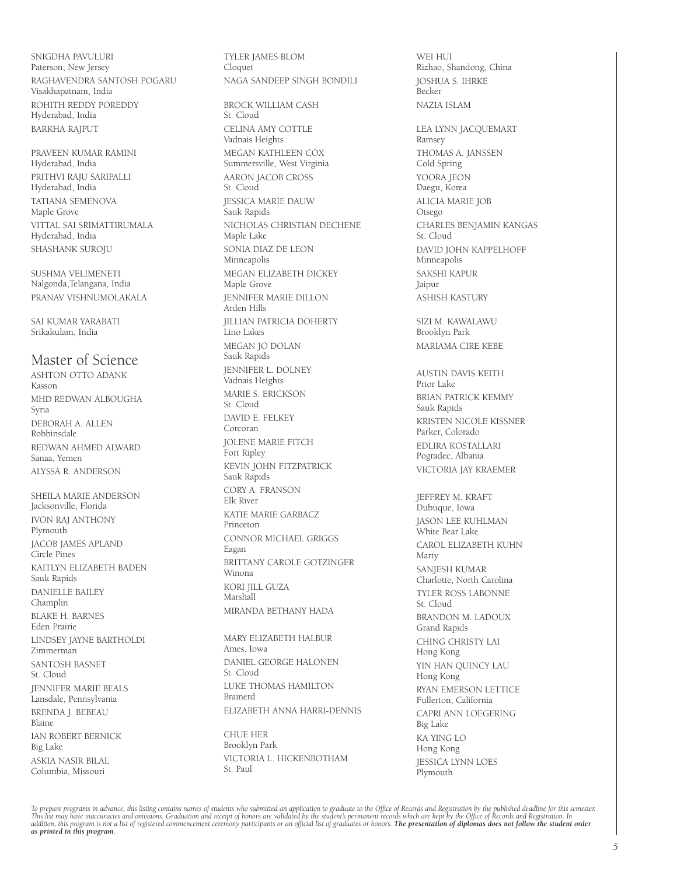SNIGDHA PAVULURI Paterson, New Jersey RAGHAVENDRA SANTOSH POGARU Visakhapatnam, India ROHITH REDDY POREDDY Hyderabad, India BARKHA RAJPUT

PRAVEEN KUMAR RAMINI Hyderabad, India PRITHVI RAJU SARIPALLI Hyderabad, India TATIANA SEMENOVA Maple Grove VITTAL SAI SRIMATTIRUMALA Hyderabad, India SHASHANK SUROJU

SUSHMA VELIMENETI Nalgonda,Telangana, India PRANAV VISHNUMOLAKALA

SAI KUMAR YARABATI Srikakulam, India

## Master of Science

ASHTON OTTO ADANK Kasson MHD REDWAN ALBOUGHA Syria DEBORAH A. ALLEN Robbinsdale REDWAN AHMED ALWARD Sanaa, Yemen ALYSSA R. ANDERSON

SHEILA MARIE ANDERSON Jacksonville, Florida IVON RAJ ANTHONY Plymouth JACOB JAMES APLAND Circle Pines KAITLYN ELIZABETH BADEN Sauk Rapids DANIELLE BAILEY Champlin BLAKE H. BARNES Eden Prairie LINDSEY JAYNE BARTHOLDI Zimmerman SANTOSH BASNET St. Cloud JENNIFER MARIE BEALS Lansdale, Pennsylvania BRENDA J. BEBEAU Blaine IAN ROBERT BERNICK Big Lake ASKIA NASIR BILAL Columbia, Missouri

TYLER JAMES BLOM Cloquet NAGA SANDEEP SINGH BONDILI

BROCK WILLIAM CASH St. Cloud CELINA AMY COTTLE Vadnais Heights MEGAN KATHLEEN COX Summersville, West Virginia AARON JACOB CROSS St. Cloud JESSICA MARIE DAUW Sauk Rapids NICHOLAS CHRISTIAN DECHENE Maple Lake SONIA DIAZ DE LEON Minneapolis MEGAN ELIZABETH DICKEY Maple Grove JENNIFER MARIE DILLON Arden Hills JILLIAN PATRICIA DOHERTY Lino Lakes MEGAN JO DOLAN Sauk Rapids JENNIFER L. DOLNEY Vadnais Heights MARIE S. ERICKSON St. Cloud DAVID E. FELKEY Corcoran JOLENE MARIE FITCH Fort Ripley KEVIN JOHN FITZPATRICK Sauk Rapids CORY A. FRANSON Elk River KATIE MARIE GARBACZ Princeton CONNOR MICHAEL GRIGGS Eagan BRITTANY CAROLE GOTZINGER Winona KORI JILL GUZA Marshall MIRANDA BETHANY HADA

MARY ELIZABETH HALBUR Ames, Iowa DANIEL GEORGE HALONEN St. Cloud LUKE THOMAS HAMILTON Brainerd ELIZABETH ANNA HARRI-DENNIS

CHUE HER Brooklyn Park VICTORIA L. HICKENBOTHAM St. Paul

WEI HUI Rizhao, Shandong, China JOSHUA S. IHRKE Becker NAZIA ISLAM LEA LYNN JACQUEMART Ramsey THOMAS A. JANSSEN Cold Spring YOORA JEON Daegu, Korea ALICIA MARIE JOB Otsego CHARLES BENJAMIN KANGAS St. Cloud DAVID JOHN KAPPELHOFF Minneapolis SAKSHI KAPUR Jaipur ASHISH KASTURY SIZI M. KAWALAWU Brooklyn Park MARIAMA CIRE KEBE AUSTIN DAVIS KEITH Prior Lake BRIAN PATRICK KEMMY Sauk Rapids KRISTEN NICOLE KISSNER Parker, Colorado EDLIRA KOSTALLARI Pogradec, Albania VICTORIA JAY KRAEMER JEFFREY M. KRAFT Dubuque, Iowa JASON LEE KUHLMAN White Bear Lake CAROL ELIZABETH KUHN Marty SANJESH KUMAR Charlotte, North Carolina TYLER ROSS LABONNE St. Cloud BRANDON M. LADOUX Grand Rapids CHING CHRISTY LAI Hong Kong YIN HAN QUINCY LAU Hong Kong RYAN EMERSON LETTICE Fullerton, California CAPRI ANN LOEGERING Big Lake KA YING LO Hong Kong JESSICA LYNN LOES Plymouth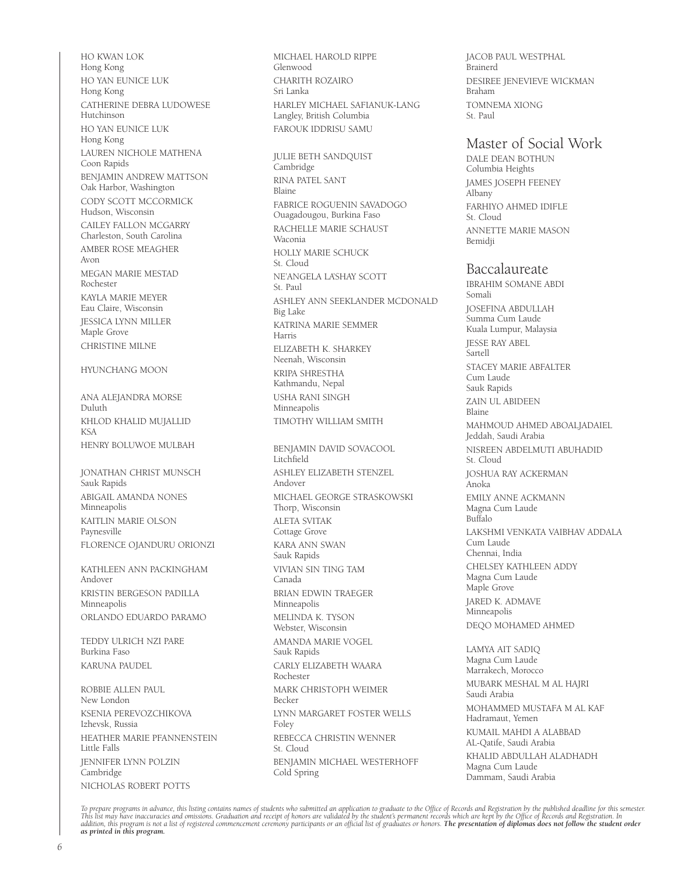HO KWAN LOK Hong Kong HO YAN EUNICE LUK Hong Kong CATHERINE DEBRA LUDOWESE Hutchinson HO YAN EUNICE LUK Hong Kong LAUREN NICHOLE MATHENA Coon Rapids BENJAMIN ANDREW MATTSON Oak Harbor, Washington CODY SCOTT MCCORMICK Hudson, Wisconsin CAILEY FALLON MCGARRY Charleston, South Carolina AMBER ROSE MEAGHER Avon MEGAN MARIE MESTAD Rochester KAYLA MARIE MEYER Eau Claire, Wisconsin JESSICA LYNN MILLER Maple Grove CHRISTINE MILNE HYUNCHANG MOON ANA ALEJANDRA MORSE Duluth KHLOD KHALID MUJALLID KSA HENRY BOLUWOE MULBAH JONATHAN CHRIST MUNSCH Sauk Rapids ABIGAIL AMANDA NONES Minneapolis KAITLIN MARIE OLSON Paynesville FLORENCE OJANDURU ORIONZI KATHLEEN ANN PACKINGHAM Andover KRISTIN BERGESON PADILLA Minneapolis ORLANDO EDUARDO PARAMO TEDDY ULRICH NZI PARE Burkina Faso KARUNA PAUDEL ROBBIE ALLEN PAUL New London KSENIA PEREVOZCHIKOVA Izhevsk, Russia HEATHER MARIE PFANNENSTEIN Little Falls JENNIFER LYNN POLZIN Cambridge NICHOLAS ROBERT POTTS

MICHAEL HAROLD RIPPE Glenwood CHARITH ROZAIRO Sri Lanka HARLEY MICHAEL SAFIANUK-LANG Langley, British Columbia FAROUK IDDRISU SAMU

JULIE BETH SANDQUIST Cambridge RINA PATEL SANT Blaine FABRICE ROGUENIN SAVADOGO Ouagadougou, Burkina Faso RACHELLE MARIE SCHAUST Waconia HOLLY MARIE SCHUCK St. Cloud NE'ANGELA LA'SHAY SCOTT St. Paul ASHLEY ANN SEEKLANDER MCDONALD Big Lake KATRINA MARIE SEMMER Harris ELIZABETH K. SHARKEY Neenah, Wisconsin KRIPA SHRESTHA Kathmandu, Nepal USHA RANI SINGH Minneapolis TIMOTHY WILLIAM SMITH

BENJAMIN DAVID SOVACOOL Litchfield ASHLEY ELIZABETH STENZEL Andover MICHAEL GEORGE STRASKOWSKI Thorp, Wisconsin ALETA SVITAK Cottage Grove KARA ANN SWAN Sauk Rapids VIVIAN SIN TING TAM Canada BRIAN EDWIN TRAEGER Minneapolis MELINDA K. TYSON Webster, Wisconsin AMANDA MARIE VOGEL Sauk Rapids CARLY ELIZABETH WAARA Rochester MARK CHRISTOPH WEIMER Becker LYNN MARGARET FOSTER WELLS Foley REBECCA CHRISTIN WENNER St. Cloud BENJAMIN MICHAEL WESTERHOFF Cold Spring

JACOB PAUL WESTPHAL Brainerd DESIREE JENEVIEVE WICKMAN Braham TOMNEMA XIONG St. Paul

## Master of Social Work

DALE DEAN BOTHUN Columbia Heights JAMES JOSEPH FEENEY Albany FARHIYO AHMED IDIFLE St. Cloud ANNETTE MARIE MASON Bemidji

## Baccalaureate

IBRAHIM SOMANE ABDI Somali JOSEFINA ABDULLAH Summa Cum Laude Kuala Lumpur, Malaysia JESSE RAY ABEL Sartell STACEY MARIE ABFALTER Cum Laude Sauk Rapids ZAIN UL ABIDEEN Blaine MAHMOUD AHMED ABOALJADAIEL Jeddah, Saudi Arabia NISREEN ABDELMUTI ABUHADID St. Cloud JOSHUA RAY ACKERMAN Anoka EMILY ANNE ACKMANN Magna Cum Laude Buffalo LAKSHMI VENKATA VAIBHAV ADDALA Cum Laude Chennai, India CHELSEY KATHLEEN ADDY Magna Cum Laude Maple Grove JARED K. ADMAVE Minneapolis DEQO MOHAMED AHMED

LAMYA AIT SADIQ Magna Cum Laude Marrakech, Morocco MUBARK MESHAL M AL HAJRI Saudi Arabia MOHAMMED MUSTAFA M AL KAF Hadramaut, Yemen KUMAIL MAHDI A ALABBAD AL-Qatife, Saudi Arabia KHALID ABDULLAH ALADHADH Magna Cum Laude Dammam, Saudi Arabia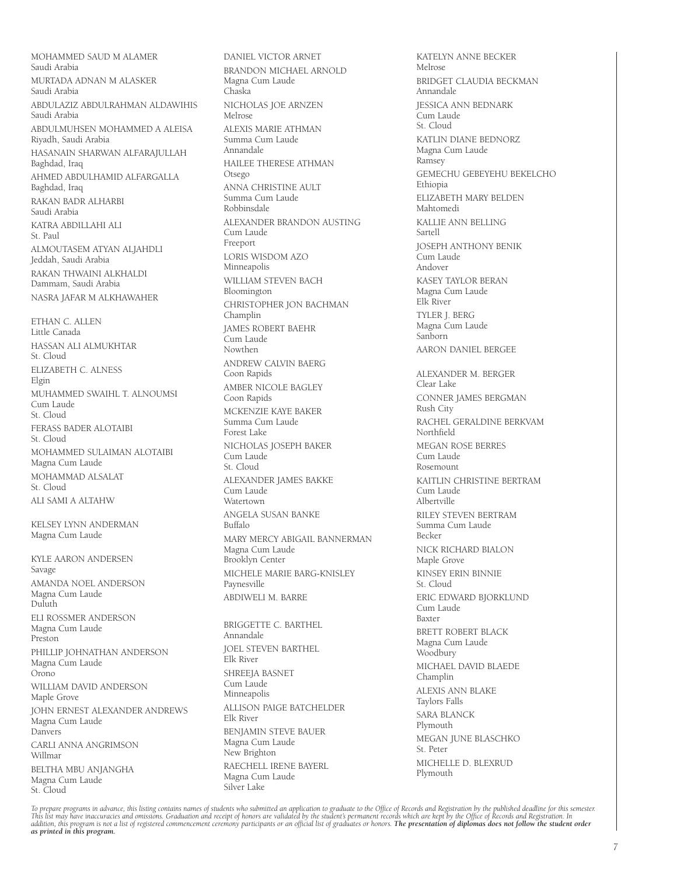MOHAMMED SAUD M ALAMER Saudi Arabia MURTADA ADNAN M ALASKER Saudi Arabia ABDULAZIZ ABDULRAHMAN ALDAWIHIS Saudi Arabia ABDULMUHSEN MOHAMMED A ALEISA Riyadh, Saudi Arabia HASANAIN SHARWAN ALFARAJULLAH Baghdad, Iraq AHMED ABDULHAMID ALFARGALLA Baghdad, Iraq RAKAN BADR ALHARBI Saudi Arabia KATRA ABDILLAHI ALI St. Paul ALMOUTASEM ATYAN ALJAHDLI Jeddah, Saudi Arabia RAKAN THWAINI ALKHALDI Dammam, Saudi Arabia NASRA JAFAR M ALKHAWAHER ETHAN C. ALLEN Little Canada

HASSAN ALI ALMUKHTAR St. Cloud ELIZABETH C. ALNESS Elgin MUHAMMED SWAIHL T. ALNOUMSI Cum Laude St. Cloud FERASS BADER ALOTAIBI St. Cloud MOHAMMED SULAIMAN ALOTAIBI Magna Cum Laude MOHAMMAD ALSALAT St. Cloud ALI SAMI A ALTAHW

KELSEY LYNN ANDERMAN Magna Cum Laude

KYLE AARON ANDERSEN Savage AMANDA NOEL ANDERSON Magna Cum Laude Duluth ELI ROSSMER ANDERSON Magna Cum Laude Preston PHILLIP JOHNATHAN ANDERSON Magna Cum Laude Orono WILLIAM DAVID ANDERSON Maple Grove JOHN ERNEST ALEXANDER ANDREWS Magna Cum Laude Danvers CARLI ANNA ANGRIMSON Willmar BELTHA MBU ANJANGHA Magna Cum Laude St. Cloud

BRANDON MICHAEL ARNOLD Magna Cum Laude Chaska NICHOLAS JOE ARNZEN Melrose ALEXIS MARIE ATHMAN Summa Cum Laude Annandale HAILEE THERESE ATHMAN Otsego ANNA CHRISTINE AULT Summa Cum Laude Robbinsdale ALEXANDER BRANDON AUSTING Cum Laude Freeport LORIS WISDOM AZO Minneapolis WILLIAM STEVEN BACH Bloomington CHRISTOPHER JON BACHMAN Champlin JAMES ROBERT BAEHR .<br>Cum Laude Nowthen ANDREW CALVIN BAERG Coon Rapids AMBER NICOLE BAGLEY Coon Rapids MCKENZIE KAYE BAKER Summa Cum Laude Forest Lake NICHOLAS JOSEPH BAKER Cum Laude St. Cloud ALEXANDER JAMES BAKKE Cum Laude Watertown ANGELA SUSAN BANKE Buffalo MARY MERCY ABIGAIL BANNERMAN Magna Cum Laude Brooklyn Center MICHELE MARIE BARG-KNISLEY Paynesville ABDIWELI M. BARRE BRIGGETTE C. BARTHEL Annandale JOEL STEVEN BARTHEL Elk River

DANIEL VICTOR ARNET

KATELYN ANNE BECKER Melrose BRIDGET CLAUDIA BECKMAN Annandale JESSICA ANN BEDNARK .<br>Cum Laude St. Cloud KATLIN DIANE BEDNORZ Magna Cum Laude Ramsey GEMECHU GEBEYEHU BEKELCHO Ethiopia ELIZABETH MARY BELDEN Mahtomedi KALLIE ANN BELLING Sartell JOSEPH ANTHONY BENIK .<br>Cum Laude Andover KASEY TAYLOR BERAN Magna Cum Laude Elk River TYLER J. BERG Magna Cum Laude Sanborn AARON DANIEL BERGEE ALEXANDER M. BERGER Clear Lake CONNER JAMES BERGMAN Rush City RACHEL GERALDINE BERKVAM Northfield MEGAN ROSE BERRES Cum Laude Rosemount KAITLIN CHRISTINE BERTRAM Cum Laude Albertville RILEY STEVEN BERTRAM Summa Cum Laude Becker NICK RICHARD BIALON Maple Grove KINSEY ERIN BINNIE St. Cloud ERIC EDWARD BJORKLUND Cum Laude Baxter BRETT ROBERT BLACK Magna Cum Laude Woodbury MICHAEL DAVID BLAEDE Champlin ALEXIS ANN BLAKE Taylors Falls SARA BLANCK Plymouth MEGAN JUNE BLASCHKO St. Peter MICHELLE D. BLEXRUD Plymouth

To prepare programs in advance, this listing contains names of students who submitted an application to graduate to the Office of Records and Registration by the published deadline for this semester.<br>This list may have ina

SHREEJA BASNET Cum Laude Minneapolis

Elk River

ALLISON PAIGE BATCHELDER

BENJAMIN STEVE BAUER Magna Cum Laude New Brighton

RAECHELL IRENE BAYERL Magna Cum Laude Silver Lake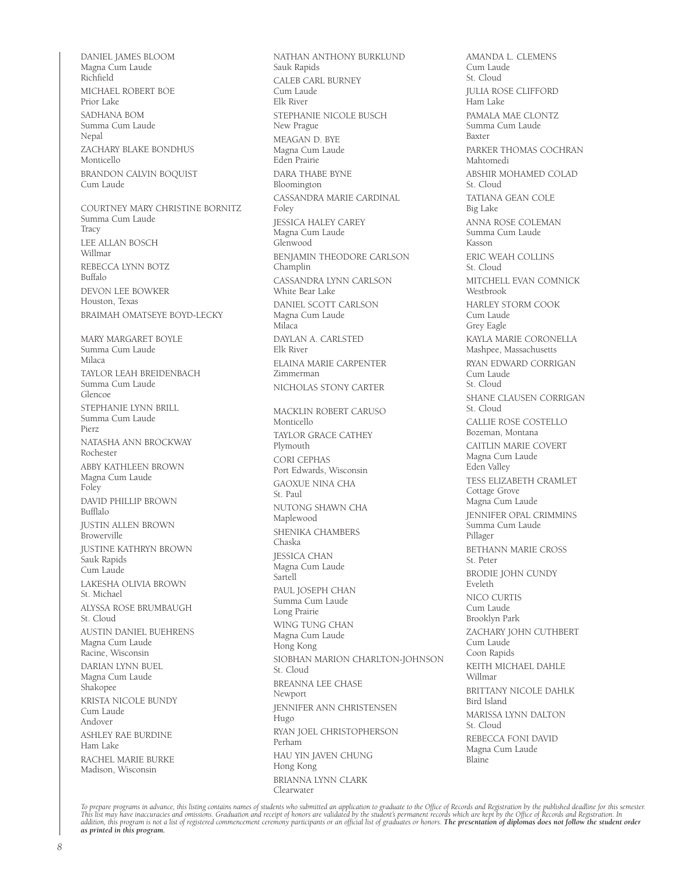DANIEL JAMES BLOOM Magna Cum Laude Richfield MICHAEL ROBERT BOE Prior Lake SADHANA BOM Summa Cum Laude Nepal ZACHARY BLAKE BONDHUS Monticello BRANDON CALVIN BOQUIST Cum Laude COURTNEY MARY CHRISTINE BORNITZ Summa Cum Laude **Tracy** LEE ALLAN BOSCH Willmar REBECCA LYNN BOTZ Buffalo DEVON LEE BOWKER Houston, Texas BRAIMAH OMATSEYE BOYD-LECKY MARY MARGARET BOYLE Summa Cum Laude Milaca TAYLOR LEAH BREIDENBACH Summa Cum Laude Glencoe STEPHANIE LYNN BRILL Summa Cum Laude Pierz NATASHA ANN BROCKWAY Rochester ABBY KATHLEEN BROWN Magna Cum Laude Foley DAVID PHILLIP BROWN Bufflalo JUSTIN ALLEN BROWN Browerville JUSTINE KATHRYN BROWN Sauk Rapids Cum Laude LAKESHA OLIVIA BROWN St. Michael ALYSSA ROSE BRUMBAUGH St. Cloud AUSTIN DANIEL BUEHRENS Magna Cum Laude Racine, Wisconsin DARIAN LYNN BUEL Magna Cum Laude Shakopee KRISTA NICOLE BUNDY Cum Laude Andover ASHLEY RAE BURDINE Ham Lake RACHEL MARIE BURKE Madison, Wisconsin

NATHAN ANTHONY BURKLUND Sauk Rapids CALEB CARL BURNEY Cum Laude Elk River STEPHANIE NICOLE BUSCH New Prague MEAGAN D. BYE Magna Cum Laude Eden Prairie DARA THABE BYNE Bloomington CASSANDRA MARIE CARDINAL Foley JESSICA HALEY CAREY Magna Cum Laude Glenwood BENJAMIN THEODORE CARLSON Champlin CASSANDRA LYNN CARLSON White Bear Lake DANIEL SCOTT CARLSON Magna Cum Laude Milaca DAYLAN A. CARLSTED Elk River ELAINA MARIE CARPENTER Zimmerman NICHOLAS STONY CARTER MACKLIN ROBERT CARUSO Monticello TAYLOR GRACE CATHEY Plymouth CORI CEPHAS Port Edwards, Wisconsin GAOXUE NINA CHA St. Paul NUTONG SHAWN CHA Maplewood SHENIKA CHAMBERS Chaska JESSICA CHAN Magna Cum Laude Sartell PAUL JOSEPH CHAN Summa Cum Laude Long Prairie WING TUNG CHAN Magna Cum Laude Hong Kong SIOBHAN MARION CHARLTON-JOHNSON St. Cloud BREANNA LEE CHASE Newport JENNIFER ANN CHRISTENSEN Hugo RYAN JOEL CHRISTOPHERSON Perham HAU YIN JAVEN CHUNG Hong Kong BRIANNA LYNN CLARK Clearwater

AMANDA L. CLEMENS Cum Laude  $St. Cloud$ JULIA ROSE CLIFFORD Ham Lake PAMALA MAE CLONTZ Summa Cum Laude Baxter PARKER THOMAS COCHRAN Mahtomedi ABSHIR MOHAMED COLAD St. Cloud TATIANA GEAN COLE Big Lake ANNA ROSE COLEMAN Summa Cum Laude Kasson ERIC WEAH COLLINS St. Cloud MITCHELL EVAN COMNICK Westbrook HARLEY STORM COOK Cum Laude Grey Eagle KAYLA MARIE CORONELLA Mashpee, Massachusetts RYAN EDWARD CORRIGAN Cum Laude St. Cloud SHANE CLAUSEN CORRIGAN St. Cloud CALLIE ROSE COSTELLO Bozeman, Montana CAITLIN MARIE COVERT Magna Cum Laude Eden Valley TESS ELIZABETH CRAMLET Cottage Grove Magna Cum Laude JENNIFER OPAL CRIMMINS Summa Cum Laude Pillager BETHANN MARIE CROSS St. Peter BRODIE JOHN CUNDY Eveleth NICO CURTIS Cum Laude Brooklyn Park ZACHARY JOHN CUTHBERT Cum Laude Coon Rapids KEITH MICHAEL DAHLE Willmar BRITTANY NICOLE DAHLK Bird Island MARISSA LYNN DALTON St. Cloud REBECCA FONI DAVID Magna Cum Laude Blaine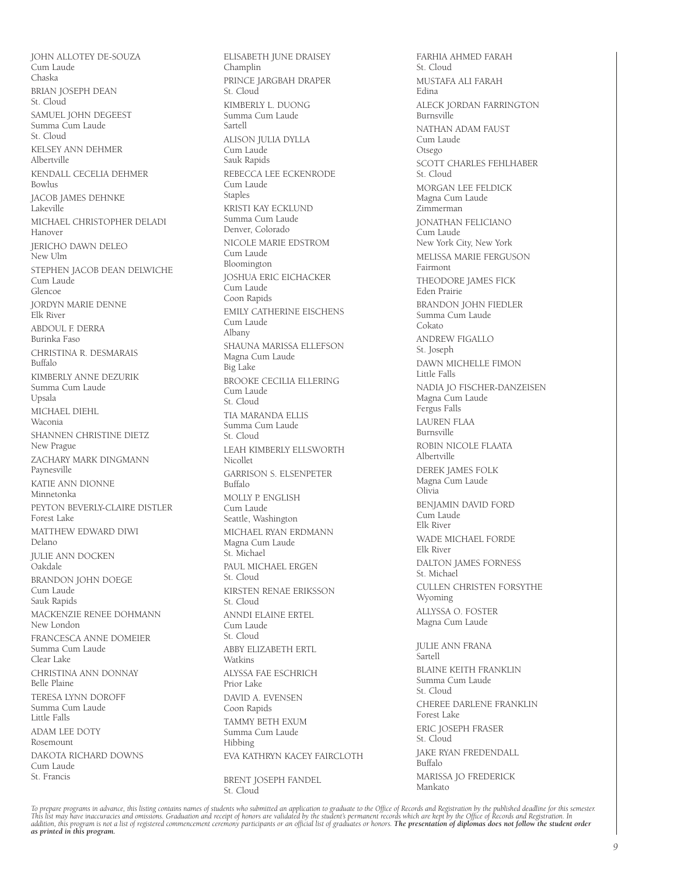JOHN ALLOTEY DE-SOUZA Cum Laude Chaska BRIAN JOSEPH DEAN St. Cloud SAMUEL JOHN DEGEEST Summa Cum Laude St. Cloud KELSEY ANN DEHMER Albertville KENDALL CECELIA DEHMER Bowlus JACOB JAMES DEHNKE Lakeville MICHAEL CHRISTOPHER DELADI Hanover JERICHO DAWN DELEO New Ulm STEPHEN JACOB DEAN DELWICHE Cum Laude Glencoe JORDYN MARIE DENNE Elk River ABDOUL F. DERRA Burinka Faso CHRISTINA R. DESMARAIS Buffalo KIMBERLY ANNE DEZURIK Summa Cum Laude Upsala MICHAEL DIEHL Waconia SHANNEN CHRISTINE DIETZ New Prague ZACHARY MARK DINGMANN Paynesville KATIE ANN DIONNE Minnetonka PEYTON BEVERLY-CLAIRE DISTLER Forest Lake MATTHEW EDWARD DIWI Delano JULIE ANN DOCKEN Oakdale BRANDON JOHN DOEGE Cum Laude Sauk Rapids MACKENZIE RENEE DOHMANN New London FRANCESCA ANNE DOMEIER Summa Cum Laude Clear Lake CHRISTINA ANN DONNAY Belle Plaine TERESA LYNN DOROFF Summa Cum Laude Little Falls ADAM LEE DOTY Rosemount DAKOTA RICHARD DOWNS Cum Laude St. Francis

ELISABETH JUNE DRAISEY Champlin PRINCE JARGBAH DRAPER St. Cloud KIMBERLY L. DUONG Summa Cum Laude Sartell ALISON JULIA DYLLA Cum Laude Sauk Rapids REBECCA LEE ECKENRODE Cum Laude Staples KRISTI KAY ECKLUND Summa Cum Laude Denver, Colorado NICOLE MARIE EDSTROM Cum Laude Bloomington JOSHUA ERIC EICHACKER Cum Laude Coon Rapids EMILY CATHERINE EISCHENS Cum Laude Albany SHAUNA MARISSA ELLEFSON Magna Cum Laude Big Lake BROOKE CECILIA ELLERING Cum Laude St. Cloud TIA MARANDA ELLIS Summa Cum Laude St. Cloud LEAH KIMBERLY ELLSWORTH Nicollet GARRISON S. ELSENPETER Buffalo MOLLY P. ENGLISH Cum Laude Seattle, Washington MICHAEL RYAN ERDMANN Magna Cum Laude St. Michael PAUL MICHAEL ERGEN St. Cloud KIRSTEN RENAE ERIKSSON St. Cloud ANNDI ELAINE ERTEL Cum Laude St. Cloud ABBY ELIZABETH ERTL Watkins ALYSSA FAE ESCHRICH Prior Lake DAVID A. EVENSEN Coon Rapids TAMMY BETH EXUM Summa Cum Laude Hibbing EVA KATHRYN KACEY FAIRCLOTH BRENT JOSEPH FANDEL St. Cloud

FARHIA AHMED FARAH St. Cloud MUSTAFA ALI FARAH Edina ALECK JORDAN FARRINGTON Burnsville NATHAN ADAM FAUST Cum Laude Otsego SCOTT CHARLES FEHLHABER St. Cloud MORGAN LEE FELDICK Magna Cum Laude Zimmerman JONATHAN FELICIANO .<br>Cum Laude New York City, New York MELISSA MARIE FERGUSON Fairmont THEODORE JAMES FICK Eden Prairie BRANDON JOHN FIEDLER Summa Cum Laude Cokato ANDREW FIGALLO St. Joseph DAWN MICHELLE FIMON Little Falls NADIA JO FISCHER-DANZEISEN Magna Cum Laude Fergus Falls LAUREN FLAA Burnsville ROBIN NICOLE FLAATA Albertville DEREK JAMES FOLK Magna Cum Laude Olivia BENJAMIN DAVID FORD Cum Laude Elk River WADE MICHAEL FORDE Elk River DALTON JAMES FORNESS St. Michael CULLEN CHRISTEN FORSYTHE Wyoming ALLYSSA O. FOSTER Magna Cum Laude JULIE ANN FRANA Sartell BLAINE KEITH FRANKLIN Summa Cum Laude St. Cloud CHEREE DARI ENF FRANKLIN Forest Lake ERIC JOSEPH FRASER St. Cloud JAKE RYAN FREDENDALL Buffalo MARISSA JO FREDERICK Mankato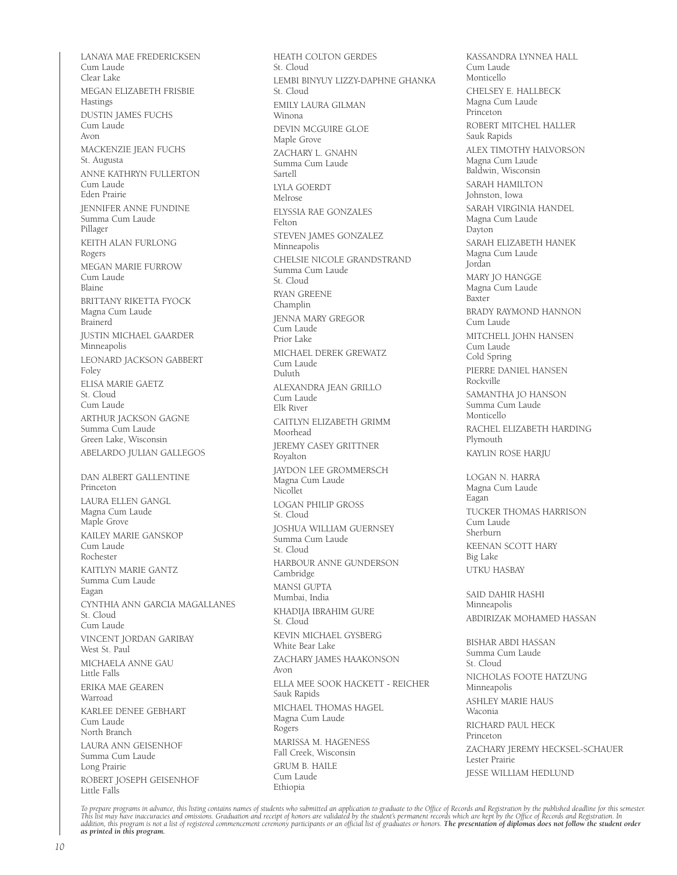LANAYA MAE FREDERICKSEN Cum Laude Clear Lake MEGAN ELIZABETH FRISBIE Hastings DUSTIN JAMES FUCHS Cum Laude Avon MACKENZIE JEAN FUCHS St. Augusta ANNE KATHRYN FULLERTON Cum Laude Eden Prairie JENNIFER ANNE FUNDINE Summa Cum Laude Pillager KEITH ALAN FURLONG Rogers MEGAN MARIE FURROW Cum Laude Blaine BRITTANY RIKETTA FYOCK Magna Cum Laude Brainerd JUSTIN MICHAEL GAARDER Minneapolis LEONARD JACKSON GABBERT Foley ELISA MARIE GAETZ St. Cloud Cum Laude ARTHUR JACKSON GAGNE Summa Cum Laude Green Lake, Wisconsin ABELARDO JULIAN GALLEGOS DAN ALBERT GALLENTINE Princeton LAURA ELLEN GANGL Magna Cum Laude Maple Grove KAILEY MARIE GANSKOP Cum Laude Rochester KAITLYN MARIE GANTZ Summa Cum Laude Eagan CYNTHIA ANN GARCIA MAGALLANES St. Cloud Cum Laude VINCENT JORDAN GARIBAY West St. Paul MICHAELA ANNE GAU Little Falls ERIKA MAE GEAREN Warroad KARLEE DENEE GEBHART Cum Laude North Branch LAURA ANN GEISENHOF Summa Cum Laude Long Prairie ROBERT JOSEPH GEISENHOF Little Falls

HEATH COLTON GERDES St. Cloud LEMBI BINYUY LIZZY-DAPHNE GHANKA St. Cloud EMILY LAURA GILMAN Winona DEVIN MCGUIRE GLOE Maple Grove ZACHARY L. GNAHN Summa Cum Laude Sartell LYLA GOERDT Melrose ELYSSIA RAE GONZALES Felton STEVEN JAMES GONZALEZ Minneapolis CHELSIE NICOLE GRANDSTRAND Summa Cum Laude St. Cloud RYAN GREENE Champlin JENNA MARY GREGOR Cum Laude Prior Lake MICHAEL DEREK GREWATZ Cum Laude Duluth ALEXANDRA JEAN GRILLO Cum Laude Elk River CAITLYN ELIZABETH GRIMM Moorhead JEREMY CASEY GRITTNER Royalton JAYDON LEE GROMMERSCH Magna Cum Laude Nicollet LOGAN PHILIP GROSS St. Cloud JOSHUA WILLIAM GUERNSEY Summa Cum Laude St. Cloud HARBOUR ANNE GUNDERSON Cambridge MANSI GUPTA Mumbai, India KHADIJA IBRAHIM GURE St. Cloud KEVIN MICHAEL GYSBERG White Bear Lake ZACHARY JAMES HAAKONSON Avon ELLA MEE SOOK HACKETT - REICHER Sauk Rapids MICHAEL THOMAS HAGEL Magna Cum Laude Rogers MARISSA M. HAGENESS Fall Creek, Wisconsin GRUM B. HAILE Cum Laude Ethiopia

KASSANDRA LYNNEA HALL Cum Laude Monticello CHELSEY E. HALLBECK Magna Cum Laude Princeton ROBERT MITCHEL HALLER Sauk Rapids ALEX TIMOTHY HALVORSON Magna Cum Laude Baldwin, Wisconsin SARAH HAMILTON Johnston, Iowa SARAH VIRGINIA HANDEL Magna Cum Laude Dayton SARAH ELIZABETH HANEK Magna Cum Laude Jordan MARY JO HANGGE Magna Cum Laude Baxter BRADY RAYMOND HANNON Cum Laude MITCHELL JOHN HANSEN Cum Laude Cold Spring PIERRE DANIEL HANSEN Rockville SAMANTHA JO HANSON Summa Cum Laude Monticello RACHEL ELIZABETH HARDING Plymouth KAYLIN ROSE HARJU LOGAN N. HARRA Magna Cum Laude Eagan TUCKER THOMAS HARRISON Cum Laude Sherburn KEENAN SCOTT HARY Big Lake UTKU HASBAY SAID DAHIR HASHI Minneapolis ABDIRIZAK MOHAMED HASSAN BISHAR ABDI HASSAN Summa Cum Laude St. Cloud NICHOLAS FOOTE HATZUNG Minneapolis ASHLEY MARIE HAUS Waconia RICHARD PAUL HECK Princeton

ZACHARY JEREMY HECKSEL-SCHAUER Lester Prairie JESSE WILLIAM HEDLUND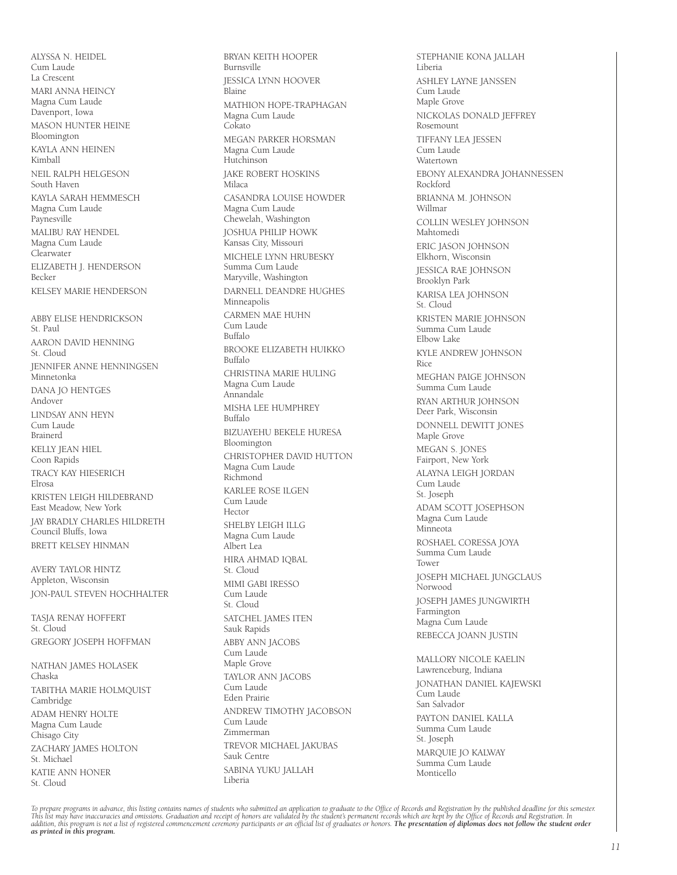ALYSSA N. HEIDEL Cum Laude La Crescent MARI ANNA HEINCY Magna Cum Laude Davenport, Iowa MASON HUNTER HEINE Bloomington KAYLA ANN HEINEN Kimball NEIL RALPH HELGESON South Haven KAYLA SARAH HEMMESCH Magna Cum Laude Paynesville MALIBU RAY HENDEL Magna Cum Laude Clearwater ELIZABETH J. HENDERSON Becker KELSEY MARIE HENDERSON ABBY ELISE HENDRICKSON St. Paul AARON DAVID HENNING St. Cloud JENNIFER ANNE HENNINGSEN Minnetonka DANA JO HENTGES Andover LINDSAY ANN HEYN Cum Laude Brainerd KELLY JEAN HIEL Coon Rapids TRACY KAY HIESERICH Elrosa KRISTEN LEIGH HILDEBRAND East Meadow, New York JAY BRADLY CHARLES HILDRETH Council Bluffs, Iowa BRETT KELSEY HINMAN

AVERY TAYLOR HINTZ Appleton, Wisconsin JON-PAUL STEVEN HOCHHALTER

TASJA RENAY HOFFERT St. Cloud GREGORY JOSEPH HOFFMAN

NATHAN JAMES HOLASEK Chaska TABITHA MARIE HOLMQUIST Cambridge ADAM HENRY HOLTE Magna Cum Laude Chisago City ZACHARY JAMES HOLTON St. Michael KATIE ANN HONER St. Cloud

Burnsville JESSICA LYNN HOOVER .<br>Blaine MATHION HOPE-TRAPHAGAN Magna Cum Laude Cokato MEGAN PARKER HORSMAN Magna Cum Laude Hutchinson JAKE ROBERT HOSKINS Milaca CASANDRA LOUISE HOWDER Magna Cum Laude Chewelah, Washington JOSHUA PHILIP HOWK Kansas City, Missouri MICHELE LYNN HRUBESKY Summa Cum Laude Maryville, Washington DARNELL DEANDRE HUGHES Minneapolis CARMEN MAE HUHN Cum Laude Buffalo BROOKE ELIZABETH HUIKKO Buffalo CHRISTINA MARIE HULING Magna Cum Laude Annandale MISHA LEE HUMPHREY Buffalo BIZUAYEHU BEKELE HURESA Bloomington CHRISTOPHER DAVID HUTTON Magna Cum Laude Richmond KARLEE ROSE ILGEN Cum Laude Hector SHELBY LEIGH ILLG Magna Cum Laude Albert Lea HIRA AHMAD IQBAL St. Cloud MIMI GABI IRESSO Cum Laude St. Cloud SATCHEL JAMES ITEN Sauk Rapids ABBY ANN JACOBS Cum Laude Maple Grove TAYLOR ANN JACOBS Cum Laude Eden Prairie ANDREW TIMOTHY JACOBSON Cum Laude Zimmerman TREVOR MICHAEL JAKUBAS Sauk Centre SABINA YUKU JALLAH Liberia

BRYAN KEITH HOOPER

STEPHANIE KONA JALLAH Liberia ASHLEY LAYNE JANSSEN Cum Laude Maple Grove NICKOLAS DONALD JEFFREY Rosemount TIFFANY LEA JESSEN Cum Laude Watertown EBONY ALEXANDRA JOHANNESSEN Rockford BRIANNA M. JOHNSON Willmar COLLIN WESLEY JOHNSON Mahtomedi ERIC JASON JOHNSON Elkhorn, Wisconsin JESSICA RAE JOHNSON Brooklyn Park KARISA LEA JOHNSON St. Cloud KRISTEN MARIE JOHNSON Summa Cum Laude Elbow Lake KYLE ANDREW JOHNSON Rice MEGHAN PAIGE JOHNSON Summa Cum Laude RYAN ARTHUR JOHNSON Deer Park, Wisconsin DONNELL DEWITT JONES Maple Grove MEGAN S. JONES Fairport, New York ALAYNA LEIGH JORDAN Cum Laude St. Joseph ADAM SCOTT JOSEPHSON Magna Cum Laude Minneota ROSHAEL CORESSA JOYA Summa Cum Laude Tower JOSEPH MICHAEL JUNGCLAUS Norwood JOSEPH JAMES JUNGWIRTH Farmington Magna Cum Laude REBECCA JOANN JUSTIN MALLORY NICOLE KAELIN Lawrenceburg, Indiana JONATHAN DANIEL KAJEWSKI Cum Laude San Salvador PAYTON DANIEL KALLA Summa Cum Laude St. Joseph MARQUIE JO KALWAY Summa Cum Laude Monticello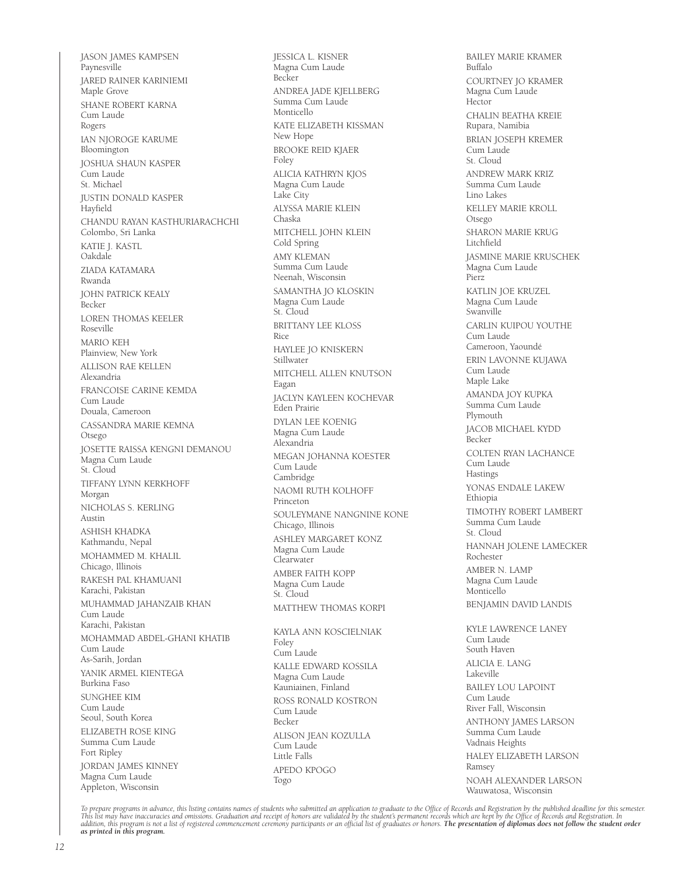JASON JAMES KAMPSEN Paynesville JARED RAINER KARINIEMI Maple Grove SHANE ROBERT KARNA Cum Laude Rogers IAN NJOROGE KARUME Bloomington JOSHUA SHAUN KASPER Cum Laude St. Michael JUSTIN DONALD KASPER Hayfield CHANDU RAYAN KASTHURIARACHCHI Colombo, Sri Lanka KATIE J. KASTL Oakdale ZIADA KATAMARA Rwanda JOHN PATRICK KEALY **Becker** LOREN THOMAS KEELER Roseville MARIO KEH Plainview, New York ALLISON RAE KELLEN Alexandria FRANCOISE CARINE KEMDA Cum Laude Douala, Cameroon CASSANDRA MARIE KEMNA Otsego JOSETTE RAISSA KENGNI DEMANOU Magna Cum Laude St. Cloud TIFFANY LYNN KERKHOFF Morgan NICHOLAS S. KERLING Austin ASHISH KHADKA Kathmandu, Nepal MOHAMMED M. KHALIL Chicago, Illinois RAKESH PAL KHAMUANI Karachi, Pakistan MUHAMMAD JAHANZAIB KHAN Cum Laude Karachi, Pakistan MOHAMMAD ABDEL-GHANI KHATIB Cum Laude As-Sarih, Jordan YANIK ARMEL KIENTEGA Burkina Faso SUNGHEE KIM Cum Laude Seoul, South Korea ELIZABETH ROSE KING Summa Cum Laude Fort Ripley JORDAN JAMES KINNEY Magna Cum Laude Appleton, Wisconsin

JESSICA L. KISNER Magna Cum Laude Becker ANDREA JADE KJELLBERG Summa Cum Laude Monticello KATE ELIZABETH KISSMAN New Hope BROOKE REID KJAER Foley ALICIA KATHRYN KJOS Magna Cum Laude Lake City ALYSSA MARIE KLEIN Chaska MITCHELL JOHN KLEIN Cold Spring AMY KI FMAN Summa Cum Laude Neenah, Wisconsin SAMANTHA JO KLOSKIN Magna Cum Laude St. Cloud BRITTANY LEE KLOSS Rice HAYLEE JO KNISKERN Stillwater MITCHELL ALLEN KNUTSON Eagan JACLYN KAYLEEN KOCHEVAR Eden Prairie DYLAN LEE KOENIG Magna Cum Laude Alexandria MEGAN JOHANNA KOESTER Cum Laude Cambridge NAOMI RUTH KOLHOFF Princeton SOULEYMANE NANGNINE KONE Chicago, Illinois ASHLEY MARGARET KONZ Magna Cum Laude Clearwater AMBER FAITH KOPP Magna Cum Laude St. Cloud MATTHEW THOMAS KORPI KAYLA ANN KOSCIELNIAK Foley Cum Laude KALLE EDWARD KOSSILA Magna Cum Laude Kauniainen, Finland ROSS RONALD KOSTRON Cum Laude Becker ALISON JEAN KOZULLA

BAILEY MARIE KRAMER Buffalo COURTNEY JO KRAMER Magna Cum Laude Hector CHALIN BEATHA KREIE Rupara, Namibia BRIAN JOSEPH KREMER Cum Laude St. Cloud ANDREW MARK KRIZ Summa Cum Laude Lino Lakes KELLEY MARIE KROLL Otsego SHARON MARIE KRUG Litchfield JASMINE MARIE KRUSCHEK Magna Cum Laude Pierz KATLIN JOE KRUZEL Magna Cum Laude Swanville CARLIN KUIPOU YOUTHE Cum Laude Cameroon, Yaoundé ERIN LAVONNE KUJAWA Cum Laude Maple Lake AMANDA JOY KUPKA Summa Cum Laude Plymouth JACOB MICHAEL KYDD Becker COLTEN RYAN LACHANCE Cum Laude Hastings YONAS ENDALE LAKEW Ethiopia TIMOTHY ROBERT LAMBERT Summa Cum Laude St. Cloud HANNAH JOLENE LAMECKER Rochester AMBER N. LAMP Magna Cum Laude Monticello BENJAMIN DAVID LANDIS KYLE LAWRENCE LANEY Cum Laude South Haven ALICIA E. LANG Lakeville BAILEY LOU LAPOINT Cum Laude River Fall, Wisconsin ANTHONY JAMES LARSON Summa Cum Laude Vadnais Heights HALEY ELIZABETH LARSON Ramsey NOAH ALEXANDER LARSON Wauwatosa, Wisconsin

To prepare programs in advance, this listing contains names of students who submitted an application to graduate to the Office of Records and Registration by the published deadline for this semester.<br>This list may have ina

Cum Laude Little Falls APEDO KPOGO

Togo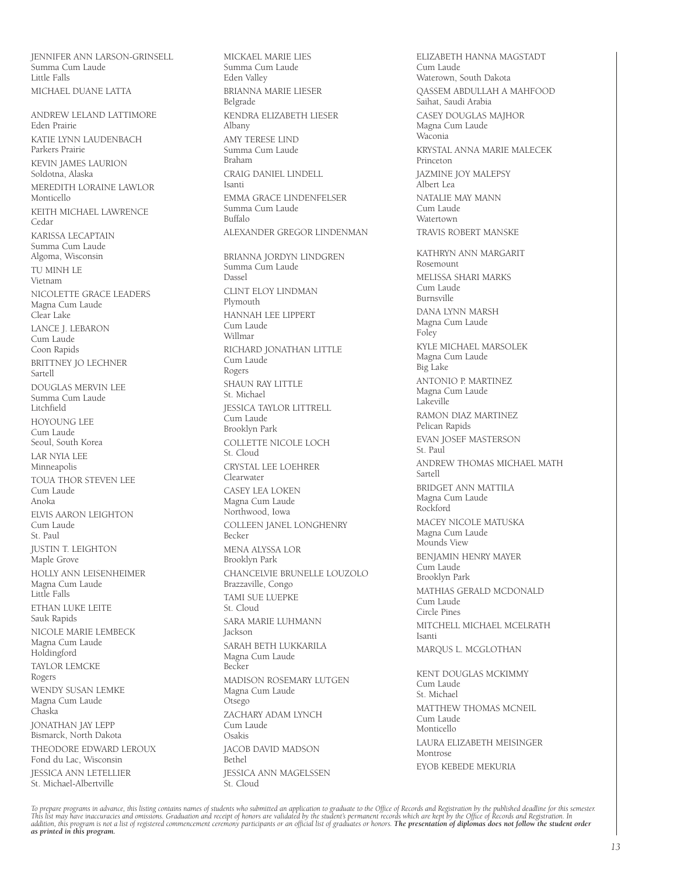JENNIFER ANN LARSON-GRINSELL Summa Cum Laude Little Falls MICHAEL DUANE LATTA

ANDREW LELAND LATTIMORE Eden Prairie KATIE LYNN LAUDENBACH Parkers Prairie KEVIN JAMES LAURION Soldotna, Alaska MEREDITH LORAINE LAWLOR Monticello KEITH MICHAEL LAWRENCE Cedar KARISSA LECAPTAIN Summa Cum Laude Algoma, Wisconsin TU MINH LE Vietnam NICOLETTE GRACE LEADERS Magna Cum Laude Clear Lake LANCE J. LEBARON Cum Laude Coon Rapids BRITTNEY JO LECHNER Sartell DOUGLAS MERVIN LEE Summa Cum Laude Litchfield HOYOUNG LEE Cum Laude Seoul, South Korea LAR NYIA LEE Minneapolis TOUA THOR STEVEN LEE Cum Laude Anoka ELVIS AARON LEIGHTON Cum Laude St. Paul JUSTIN T. LEIGHTON Maple Grove HOLLY ANN LEISENHEIMER Magna Cum Laude Little Falls ETHAN LUKE LEITE Sauk Rapids NICOLE MARIE LEMBECK Magna Cum Laude Holdingford TAYLOR LEMCKE Rogers WENDY SUSAN LEMKE Magna Cum Laude Chaska JONATHAN JAY LEPP Bismarck, North Dakota THEODORE EDWARD LEROUX Fond du Lac, Wisconsin JESSICA ANN LETELLIER St. Michael-Albertville

MICKAEL MARIE LIES Summa Cum Laude Eden Valley BRIANNA MARIE LIESER Belgrade KENDRA ELIZABETH LIESER Albany AMY TERESE LIND Summa Cum Laude Braham CRAIG DANIEL LINDELL Isanti EMMA GRACE LINDENFELSER Summa Cum Laude Buffalo ALEXANDER GREGOR LINDENMAN BRIANNA JORDYN LINDGREN Summa Cum Laude Dassel CLINT ELOY LINDMAN Plymouth HANNAH LEE LIPPERT Cum Laude Willmar RICHARD JONATHAN LITTLE Cum Laude Rogers SHAUN RAY LITTLE St. Michael JESSICA TAYLOR LITTRELL Cum Laude Brooklyn Park COLLETTE NICOLE LOCH St. Cloud CRYSTAL LEE LOEHRER Clearwater CASEY LEA LOKEN Magna Cum Laude Northwood, Iowa COLLEEN JANEL LONGHENRY Becker MENA ALYSSA LOR Brooklyn Park CHANCELVIE BRUNELLE LOUZOLO Brazzaville, Congo TAMI SUE LUEPKE St. Cloud SARA MARIE LUHMANN Jackson SARAH BETH LUKKARILA Magna Cum Laude Becker MADISON ROSEMARY LUTGEN Magna Cum Laude Otsego ZACHARY ADAM LYNCH Cum Laude Osakis JACOB DAVID MADSON .<br>Bethel JESSICA ANN MAGELSSEN St. Cloud

ELIZABETH HANNA MAGSTADT Cum Laude Waterown, South Dakota QASSEM ABDULLAH A MAHFOOD Saihat, Saudi Arabia CASEY DOUGLAS MAJHOR Magna Cum Laude Waconia KRYSTAL ANNA MARIE MALECEK Princeton JAZMINE JOY MALEPSY Albert Lea NATALIE MAY MANN Cum Laude Watertown TRAVIS ROBERT MANSKE KATHRYN ANN MARGARIT Rosemount MELISSA SHARI MARKS Cum Laude Burnsville DANA LYNN MARSH Magna Cum Laude Foley KYLE MICHAEL MARSOLEK Magna Cum Laude Big Lake ANTONIO P. MARTINEZ Magna Cum Laude Lakeville RAMON DIAZ MARTINEZ Pelican Rapids EVAN JOSEF MASTERSON St. Paul ANDREW THOMAS MICHAEL MATH Sartell BRIDGET ANN MATTILA Magna Cum Laude Rockford MACEY NICOLE MATUSKA Magna Cum Laude Mounds View BENJAMIN HENRY MAYER Cum Laude Brooklyn Park MATHIAS GERALD MCDONALD Cum Laude Circle Pines MITCHELL MICHAEL MCELRATH Isanti MARQUS L. MCGLOTHAN KENT DOUGLAS MCKIMMY Cum Laude St. Michael MATTHEW THOMAS MCNEIL Cum Laude Monticello LAURA ELIZABETH MEISINGER Montrose EYOB KEBEDE MEKURIA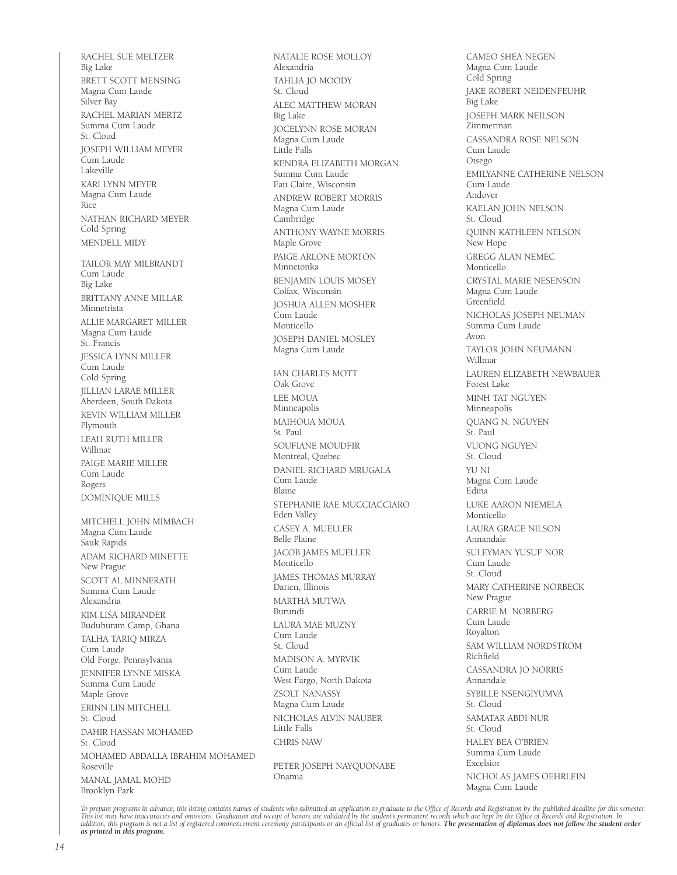RACHEL SUE MELTZER Big Lake BRETT SCOTT MENSING Magna Cum Laude Silver Bay RACHEL MARIAN MERTZ Summa Cum Laude St. Cloud JOSEPH WILLIAM MEYER Cum Laude Lakeville KARI LYNN MEYER Magna Cum Laude Rice NATHAN RICHARD MEYER Cold Spring MENDELL MIDY TAILOR MAY MILBRANDT Cum Laude Big Lake BRITTANY ANNE MILLAR Minnetrista ALLIE MARGARET MILLER Magna Cum Laude St. Francis JESSICA LYNN MILLER Cum Laude Cold Spring JILLIAN LARAE MILLER Aberdeen, South Dakota KEVIN WILLIAM MILLER Plymouth LEAH RUTH MILLER Willmar PAIGE MARIE MILLER Cum Laude Rogers DOMINIQUE MILLS MITCHELL JOHN MIMBACH Magna Cum Laude Sauk Rapids ADAM RICHARD MINETTE New Prague SCOTT AL MINNERATH Summa Cum Laude Alexandria KIM LISA MIRANDER Buduburam Camp, Ghana TALHA TARIQ MIRZA Cum Laude Old Forge, Pennsylvania JENNIFER LYNNE MISKA Summa Cum Laude Maple Grove ERINN LIN MITCHELL St. Cloud DAHIR HASSAN MOHAMED St. Cloud MOHAMED ABDALLA IBRAHIM MOHAMED Roseville MANAL JAMAL MOHD Brooklyn Park

NATALIE ROSE MOLLOY Alexandria TAHLIA JO MOODY St. Cloud ALEC MATTHEW MORAN Big Lake JOCELYNN ROSE MORAN Magna Cum Laude Little Falls KENDRA ELIZABETH MORGAN Summa Cum Laude Eau Claire, Wisconsin ANDREW ROBERT MORRIS Magna Cum Laude Cambridge ANTHONY WAYNE MORRIS Maple Grove PAIGE ARLONE MORTON Minnetonka BENJAMIN LOUIS MOSEY Colfax, Wisconsin JOSHUA ALLEN MOSHER .<br>Cum Laude Monticello JOSEPH DANIEL MOSLEY Magna Cum Laude IAN CHARLES MOTT Oak Grove LEE MOUA Minneapolis MAIHOUA MOUA St. Paul SOUFIANE MOUDFIR Montréal, Quebec DANIEL RICHARD MRUGALA Cum Laude Blaine STEPHANIE RAE MUCCIACCIARO Eden Valley CASEY A. MUELLER Belle Plaine JACOB JAMES MUELLER Monticello JAMES THOMAS MURRAY Darien, Illinois MARTHA MUTWA Burundi LAURA MAE MUZNY Cum Laude St. Cloud MADISON A. MYRVIK Cum Laude West Fargo, North Dakota ZSOLT NANASSY Magna Cum Laude NICHOLAS ALVIN NAUBER Little Falls CHRIS NAW

PETER JOSEPH NAYQUONABE Onamia

CAMEO SHEA NEGEN Magna Cum Laude Cold Spring JAKE ROBERT NEIDENFEUHR Big Lake JOSEPH MARK NEILSON Zimmerman CASSANDRA ROSE NELSON Cum Laude Otsego EMILYANNE CATHERINE NELSON Cum Laude Andover KAELAN JOHN NELSON St. Cloud QUINN KATHLEEN NELSON New Hope GREGG ALAN NEMEC Monticello CRYSTAL MARIE NESENSON Magna Cum Laude Greenfield NICHOLAS JOSEPH NEUMAN Summa Cum Laude Avon TAYLOR JOHN NEUMANN Willmar LAUREN ELIZABETH NEWBAUER Forest Lake MINH TAT NGUYEN Minneapolis QUANG N. NGUYEN St. Paul VUONG NGUYEN St. Cloud YU NI Magna Cum Laude Edina LUKE AARON NIEMELA Monticello LAURA GRACE NILSON Annandale SULEYMAN YUSUF NOR Cum Laude St. Cloud MARY CATHERINE NORBECK New Prague CARRIE M. NORBERG Cum Laude Royalton SAM WILLIAM NORDSTROM Richfield CASSANDRA JO NORRIS Annandale SYBILLE NSENGIYUMVA St. Cloud SAMATAR ABDI NUR St. Cloud HALEY BEA O'BRIEN Summa Cum Laude Excelsior NICHOLAS JAMES OEHRLEIN Magna Cum Laude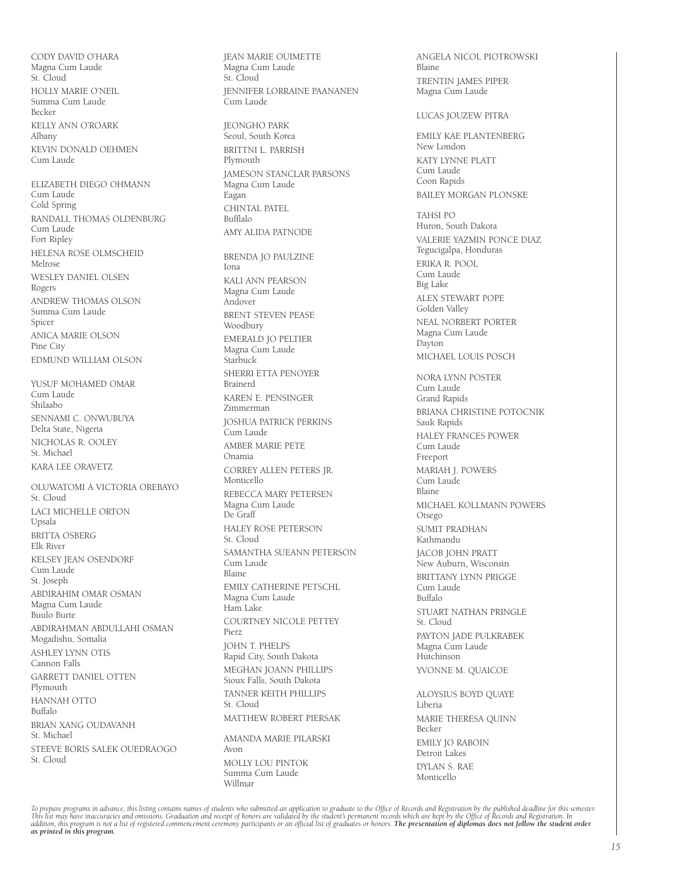CODY DAVID O'HARA Magna Cum Laude St. Cloud HOLLY MARIE O'NEIL Summa Cum Laude Becker KELLY ANN O'ROARK Albany KEVIN DONALD OEHMEN Cum Laude

ELIZABETH DIEGO OHMANN Cum Laude Cold Spring RANDALL THOMAS OLDENBURG Cum Laude Fort Ripley HELENA ROSE OLMSCHEID Melrose WESLEY DANIEL OLSEN Rogers ANDREW THOMAS OLSON Summa Cum Laude Spicer ANICA MARIE OLSON Pine City EDMUND WILLIAM OLSON

YUSUF MOHAMED OMAR Cum Laude Shilaabo SENNAMI C. ONWUBUYA Delta State, Nigeria NICHOLAS R. OOLEY St. Michael KARA LEE ORAVETZ

OLUWATOMI A VICTORIA OREBAYO St. Cloud LACI MICHELLE ORTON Upsala BRITTA OSBERG Elk River KELSEY JEAN OSENDORF Cum Laude St. Joseph ABDIRAHIM OMAR OSMAN Magna Cum Laude Buulo Burte ABDIRAHMAN ABDULLAHI OSMAN Mogadishu, Somalia ASHLEY LYNN OTIS Cannon Falls GARRETT DANIEL OTTEN Plymouth HANNAH OTTO Buffalo BRIAN XANG OUDAVANH St. Michael STEEVE BORIS SALEK OUEDRAOGO St. Cloud

JEAN MARIE OUIMETTE Magna Cum Laude St. Cloud JENNIFER LORRAINE PAANANEN Cum Laude

JEONGHO PARK Seoul, South Korea BRITTNI L. PARRISH Plymouth JAMESON STANCLAR PARSONS Magna Cum Laude Eagan CHINTAL PATEL Bufflalo AMY ALIDA PATNODE

BRENDA JO PAULZINE Iona KALI ANN PEARSON Magna Cum Laude Andover BRENT STEVEN PEASE Woodbury EMERALD JO PELTIER Magna Cum Laude Starbuck SHERRI ETTA PENOYER Brainerd KAREN E. PENSINGER Zimmerman JOSHUA PATRICK PERKINS .<br>Cum Laude AMBER MARIE PETE Onamia CORREY ALLEN PETERS JR. Monticello REBECCA MARY PETERSEN Magna Cum Laude De Graff HALEY ROSE PETERSON St. Cloud SAMANTHA SUEANN PETERSON Cum Laude Blaine EMILY CATHERINE PETSCHL Magna Cum Laude Ham Lake COURTNEY NICOLE PETTEY Pierz JOHN T. PHELPS Rapid City, South Dakota MEGHAN JOANN PHILLIPS Sioux Falls, South Dakota TANNER KEITH PHILLIPS St. Cloud MATTHEW ROBERT PIERSAK AMANDA MARIE PILARSKI Avon

MOLLY LOU PINTOK Summa Cum Laude Willmar

ANGELA NICOL PIOTROWSKI Blaine TRENTIN JAMES PIPER Magna Cum Laude

LUCAS JOUZEW PITRA

EMILY KAE PLANTENBERG New London KATY LYNNE PLATT Cum Laude Coon Rapids BAILEY MORGAN PLONSKE

TAHSI PO Huron, South Dakota VALERIE YAZMIN PONCE DIAZ Tegucigalpa, Honduras ERIKA R. POOL Cum Laude Big Lake ALEX STEWART POPE Golden Valley NEAL NORBERT PORTER Magna Cum Laude Dayton MICHAEL LOUIS POSCH NORA LYNN POSTER Cum Laude Grand Rapids BRIANA CHRISTINE POTOCNIK Sauk Rapids HALEY FRANCES POWER Cum Laude Freeport MARIAH J. POWERS Cum Laude Blaine MICHAEL KOLLMANN POWERS Otsego SUMIT PRADHAN Kathmandu JACOB JOHN PRATT New Auburn, Wisconsin BRITTANY LYNN PRIGGE Cum Laude Buffalo STUART NATHAN PRINGLE St. Cloud PAYTON JADE PULKRABEK Magna Cum Laude Hutchinson YVONNE M. QUAICOE ALOYSIUS BOYD QUAYE

Liberia MARIE THERESA QUINN Becker EMILY JO RABOIN Detroit Lakes DYLAN S. RAE Monticello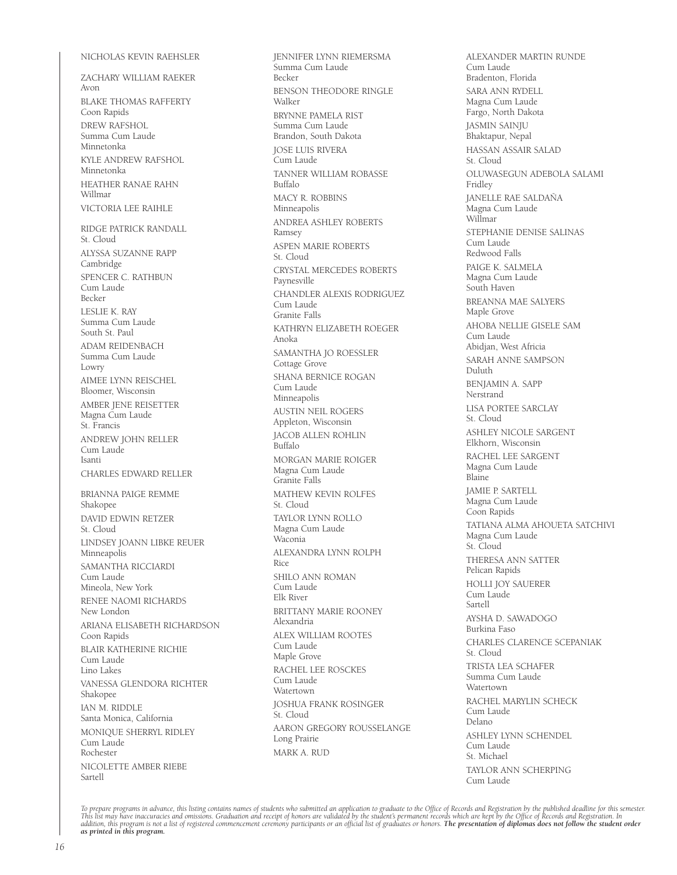#### NICHOLAS KEVIN RAEHSLER

ZACHARY WILLIAM RAEKER Avon BLAKE THOMAS RAFFERTY Coon Rapids DREW RAFSHOL Summa Cum Laude Minnetonka KYLE ANDREW RAFSHOL Minnetonka HEATHER RANAE RAHN Willmar VICTORIA LEE RAIHLE RIDGE PATRICK RANDALL St. Cloud ALYSSA SUZANNE RAPP Cambridge SPENCER C. RATHBUN Cum Laude Becker LESLIE K. RAY Summa Cum Laude South St. Paul ADAM REIDENBACH Summa Cum Laude Lowry AIMEE LYNN REISCHEL Bloomer, Wisconsin AMBER JENE REISETTER Magna Cum Laude St. Francis ANDREW JOHN RELLER Cum Laude Isanti CHARLES EDWARD RELLER BRIANNA PAIGE REMME Shakopee DAVID EDWIN RETZER St. Cloud LINDSEY JOANN LIBKE REUER Minneapolis SAMANTHA RICCIARDI Cum Laude Mineola, New York RENEE NAOMI RICHARDS New London ARIANA ELISABETH RICHARDSON Coon Rapids BLAIR KATHERINE RICHIE Cum Laude Lino Lakes VANESSA GLENDORA RICHTER Shakopee IAN M. RIDDLE Santa Monica, California MONIQUE SHERRYL RIDLEY Cum Laude Rochester NICOLETTE AMBER RIEBE Sartell

JENNIFER LYNN RIEMERSMA Summa Cum Laude Becker BENSON THEODORE RINGLE Walker BRYNNE PAMELA RIST Summa Cum Laude Brandon, South Dakota JOSE LUIS RIVERA Cum Laude TANNER WILLIAM ROBASSE Buffalo MACY R. ROBBINS Minneapolis ANDREA ASHLEY ROBERTS Ramsey ASPEN MARIE ROBERTS St. Cloud CRYSTAL MERCEDES ROBERTS Paynesville CHANDLER ALEXIS RODRIGUEZ Cum Laude Granite Falls KATHRYN ELIZABETH ROEGER Anoka SAMANTHA JO ROESSLER Cottage Grove SHANA BERNICE ROGAN Cum Laude Minneapolis AUSTIN NEIL ROGERS Appleton, Wisconsin JACOB ALLEN ROHLIN Buffalo MORGAN MARIE ROIGER Magna Cum Laude Granite Falls MATHEW KEVIN ROLFES St. Cloud TAYLOR LYNN ROLLO Magna Cum Laude Waconia ALEXANDRA LYNN ROLPH Rice SHILO ANN ROMAN Cum Laude Elk River BRITTANY MARIE ROONEY Alexandria ALEX WILLIAM ROOTES Cum Laude Maple Grove RACHEL LEE ROSCKES Cum Laude Watertown JOSHUA FRANK ROSINGER St. Cloud AARON GREGORY ROUSSELANGE Long Prairie MARK A. RUD

ALEXANDER MARTIN RUNDE Cum Laude Bradenton, Florida SARA ANN RYDELL Magna Cum Laude Fargo, North Dakota JASMIN SAINJU Bhaktapur, Nepal HASSAN ASSAIR SALAD St. Cloud OLUWASEGUN ADEBOLA SALAMI Fridley JANELLE RAE SALDAÑA Magna Cum Laude Willmar STEPHANIE DENISE SALINAS Cum Laude Redwood Falls PAIGE K. SALMELA Magna Cum Laude South Haven BREANNA MAE SALYERS Maple Grove AHOBA NELLIE GISELE SAM Cum Laude Abidjan, West Africia SARAH ANNE SAMPSON Duluth BENJAMIN A. SAPP Nerstrand LISA PORTEE SARCLAY St. Cloud ASHLEY NICOLE SARGENT Elkhorn, Wisconsin RACHEL LEE SARGENT Magna Cum Laude Blaine JAMIE P. SARTELL Magna Cum Laude Coon Rapids TATIANA ALMA AHOUETA SATCHIVI Magna Cum Laude St. Cloud THERESA ANN SATTER Pelican Rapids HOLLI JOY SAUERER Cum Laude Sartell AYSHA D. SAWADOGO Burkina Faso CHARLES CLARENCE SCEPANIAK St. Cloud TRISTA LEA SCHAFER Summa Cum Laude Watertown RACHEL MARYLIN SCHECK Cum Laude Delano ASHLEY LYNN SCHENDEL Cum Laude St. Michael TAYLOR ANN SCHERPING Cum Laude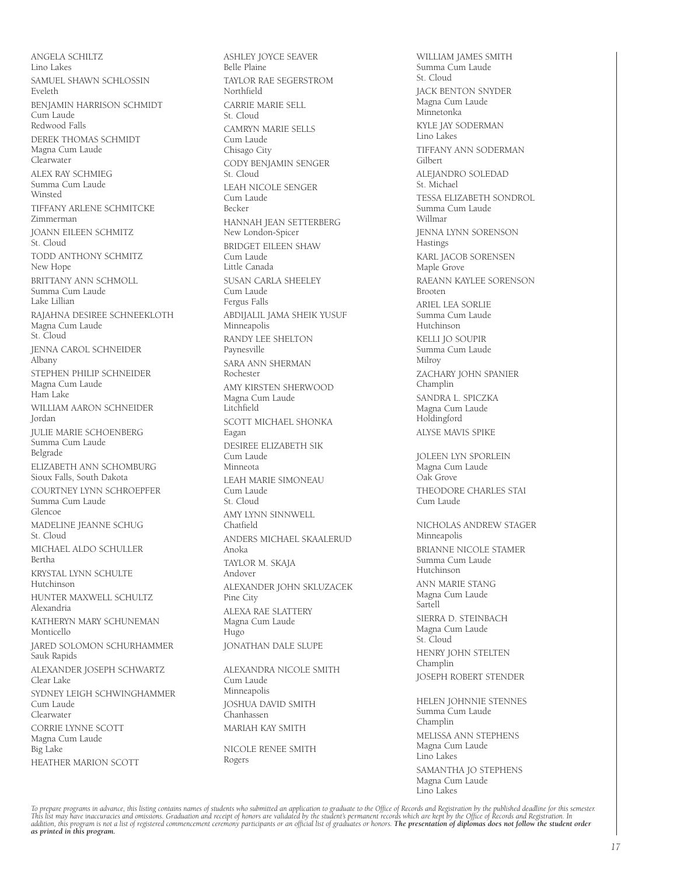ANGELA SCHILTZ Lino Lakes SAMUEL SHAWN SCHLOSSIN Eveleth BENJAMIN HARRISON SCHMIDT Cum Laude Redwood Falls DEREK THOMAS SCHMIDT Magna Cum Laude Clearwater ALEX RAY SCHMIEG Summa Cum Laude **Winsted** TIFFANY ARLENE SCHMITCKE Zimmerman JOANN EILEEN SCHMITZ St. Cloud TODD ANTHONY SCHMITZ New Hope BRITTANY ANN SCHMOLL Summa Cum Laude Lake Lillian RAJAHNA DESIREE SCHNEEKLOTH Magna Cum Laude St. Cloud JENNA CAROL SCHNEIDER Albany STEPHEN PHILIP SCHNEIDER Magna Cum Laude Ham Lake WILLIAM AARON SCHNEIDER Jordan JULIE MARIE SCHOENBERG Summa Cum Laude Belgrade ELIZABETH ANN SCHOMBURG Sioux Falls, South Dakota COURTNEY LYNN SCHROEPFER Summa Cum Laude Glencoe MADELINE JEANNE SCHUG St. Cloud MICHAEL ALDO SCHULLER Bertha KRYSTAL LYNN SCHULTE Hutchinson HUNTER MAXWELL SCHULTZ Alexandria KATHERYN MARY SCHUNEMAN Monticello JARED SOLOMON SCHURHAMMER Sauk Rapids ALEXANDER JOSEPH SCHWARTZ Clear Lake SYDNEY LEIGH SCHWINGHAMMER Cum Laude Clearwater CORRIE LYNNE SCOTT Magna Cum Laude Big Lake HEATHER MARION SCOTT

ASHLEY JOYCE SEAVER Belle Plaine TAYLOR RAE SEGERSTROM Northfield CARRIE MARIE SELL St. Cloud CAMRYN MARIE SELLS Cum Laude Chisago City CODY BENJAMIN SENGER St. Cloud LEAH NICOLE SENGER Cum Laude Becker HANNAH JEAN SETTERBERG New London-Spicer BRIDGET EILEEN SHAW Cum Laude Little Canada SUSAN CARLA SHEELEY Cum Laude Fergus Falls ABDIJALIL JAMA SHEIK YUSUF Minneapolis RANDY LEE SHELTON Paynesville SARA ANN SHERMAN Rochester AMY KIRSTEN SHERWOOD Magna Cum Laude Litchfield SCOTT MICHAEL SHONKA Eagan DESIREE ELIZABETH SIK Cum Laude Minneota LEAH MARIE SIMONEAU Cum Laude St. Cloud AMY LYNN SINNWELL Chatfield ANDERS MICHAEL SKAALERUD Anoka TAYLOR M. SKAJA Andover ALEXANDER JOHN SKLUZACEK Pine City ALEXA RAE SLATTERY Magna Cum Laude Hugo JONATHAN DALE SLUPE ALEXANDRA NICOLE SMITH Cum Laude

Minneapolis JOSHUA DAVID SMITH Chanhassen MARIAH KAY SMITH

NICOLE RENEE SMITH Rogers

WILLIAM JAMES SMITH Summa Cum Laude St. Cloud JACK BENTON SNYDER Magna Cum Laude Minnetonka KYLE JAY SODERMAN Lino Lakes TIFFANY ANN SODERMAN Gilbert ALEJANDRO SOLEDAD St. Michael TESSA ELIZABETH SONDROL Summa Cum Laude Willmar JENNA LYNN SORENSON **Hastings** KARL JACOB SORENSEN Maple Grove RAEANN KAYLEE SORENSON Brooten ARIEL LEA SORLIE Summa Cum Laude Hutchinson KELLI JO SOUPIR Summa Cum Laude Milroy ZACHARY JOHN SPANIER Champlin SANDRA L. SPICZKA Magna Cum Laude Holdingford ALYSE MAVIS SPIKE JOLEEN LYN SPORLEIN Magna Cum Laude Oak Grove THEODORE CHARLES STAI Cum Laude NICHOLAS ANDREW STAGER Minneapolis BRIANNE NICOLE STAMER Summa Cum Laude Hutchinson ANN MARIE STANG Magna Cum Laude **Sartell** SIERRA D. STEINBACH Magna Cum Laude

St. Cloud HENRY JOHN STELTEN Champlin JOSEPH ROBERT STENDER

HELEN JOHNNIE STENNES Summa Cum Laude Champlin MELISSA ANN STEPHENS Magna Cum Laude Lino Lakes SAMANTHA JO STEPHENS

Magna Cum Laude Lino Lakes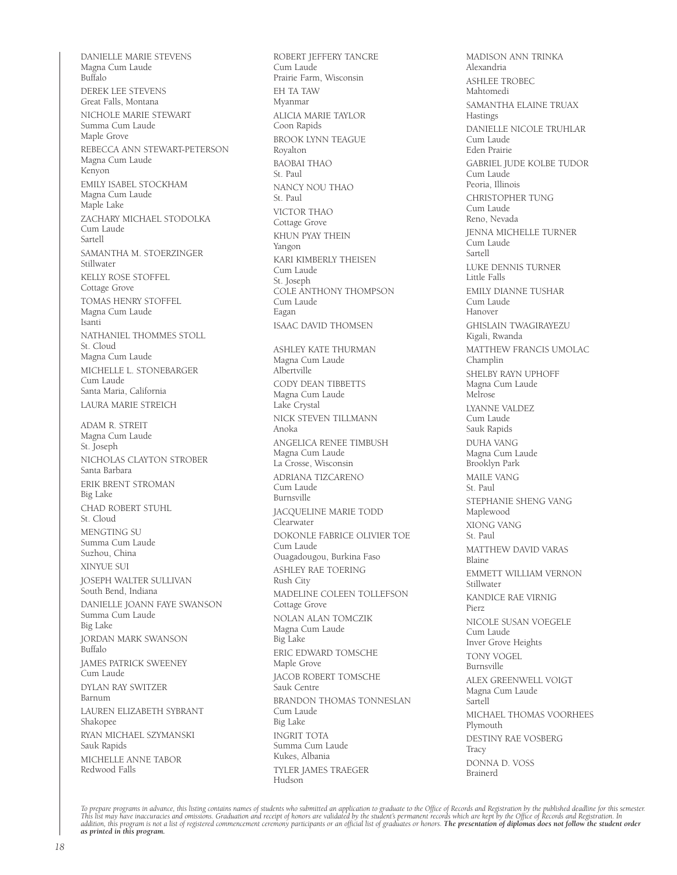DANIELLE MARIE STEVENS Magna Cum Laude Buffalo DEREK LEE STEVENS Great Falls, Montana NICHOLE MARIE STEWART Summa Cum Laude Maple Grove REBECCA ANN STEWART-PETERSON Magna Cum Laude Kenyon EMILY ISABEL STOCKHAM Magna Cum Laude Maple Lake ZACHARY MICHAEL STODOLKA Cum Laude Sartell SAMANTHA M. STOERZINGER Stillwater KELLY ROSE STOFFEL Cottage Grove TOMAS HENRY STOFFEL Magna Cum Laude Isanti NATHANIEL THOMMES STOLL St. Cloud Magna Cum Laude MICHELLE L. STONEBARGER Cum Laude Santa Maria, California LAURA MARIE STREICH ADAM R. STREIT Magna Cum Laude St. Joseph NICHOLAS CLAYTON STROBER Santa Barbara ERIK BRENT STROMAN Big Lake CHAD ROBERT STUHL St. Cloud MENGTING SU Summa Cum Laude Suzhou, China XINYUE SUI JOSEPH WALTER SULLIVAN South Bend, Indiana DANIELLE JOANN FAYE SWANSON Summa Cum Laude Big Lake JORDAN MARK SWANSON Buffalo JAMES PATRICK SWEENEY Cum Laude DYLAN RAY SWITZER Barnum LAUREN ELIZABETH SYBRANT Shakopee RYAN MICHAEL SZYMANSKI Sauk Rapids MICHELLE ANNE TABOR Redwood Falls

ROBERT JEFFERY TANCRE Cum Laude Prairie Farm, Wisconsin EH TA TAW Myanmar ALICIA MARIE TAYLOR Coon Rapids BROOK LYNN TEAGUE Royalton BAOBAI THAO St. Paul NANCY NOU THAO St. Paul VICTOR THAO Cottage Grove KHUN PYAY THEIN Yangon KARI KIMBERLY THEISEN Cum Laude St. Joseph COLE ANTHONY THOMPSON Cum Laude Eagan ISAAC DAVID THOMSEN ASHLEY KATE THURMAN Magna Cum Laude Albertville CODY DEAN TIBBETTS Magna Cum Laude Lake Crystal NICK STEVEN TILLMANN Anoka ANGELICA RENEE TIMBUSH Magna Cum Laude La Crosse, Wisconsin ADRIANA TIZCARENO Cum Laude Burnsville JACQUELINE MARIE TODD Clearwater DOKONLE FABRICE OLIVIER TOE Cum Laude Ouagadougou, Burkina Faso ASHLEY RAE TOERING Rush City MADELINE COLEEN TOLLEFSON Cottage Grove NOLAN ALAN TOMCZIK Magna Cum Laude Big Lake ERIC EDWARD TOMSCHE Maple Grove JACOB ROBERT TOMSCHE Sauk Centre BRANDON THOMAS TONNESLAN Cum Laude Big Lake INGRIT TOTA Summa Cum Laude Kukes, Albania TYLER JAMES TRAEGER Hudson

MADISON ANN TRINKA Alexandria ASHLEE TROBEC Mahtomedi SAMANTHA ELAINE TRUAX Hastings DANIELLE NICOLE TRUHLAR Cum Laude Eden Prairie GABRIEL JUDE KOLBE TUDOR Cum Laude Peoria, Illinois CHRISTOPHER TUNG Cum Laude Reno, Nevada JENNA MICHELLE TURNER Cum Laude Sartell LUKE DENNIS TURNER Little Falls EMILY DIANNE TUSHAR Cum Laude Hanover GHISLAIN TWAGIRAYEZU Kigali, Rwanda MATTHEW FRANCIS UMOLAC Champlin SHELBY RAYN UPHOFF Magna Cum Laude Melrose LYANNE VALDEZ Cum Laude Sauk Rapids DUHA VANG Magna Cum Laude Brooklyn Park MAILE VANG St. Paul STEPHANIE SHENG VANG Maplewood XIONG VANG St. Paul MATTHEW DAVID VARAS Blaine EMMETT WILLIAM VERNON Stillwater KANDICE RAE VIRNIG Pierz NICOLE SUSAN VOEGELE Cum Laude Inver Grove Heights TONY VOGEL Burnsville ALEX GREENWELL VOIGT Magna Cum Laude Sartell MICHAEL THOMAS VOORHEES Plymouth DESTINY RAE VOSBERG **Tracy** DONNA D. VOSS Brainerd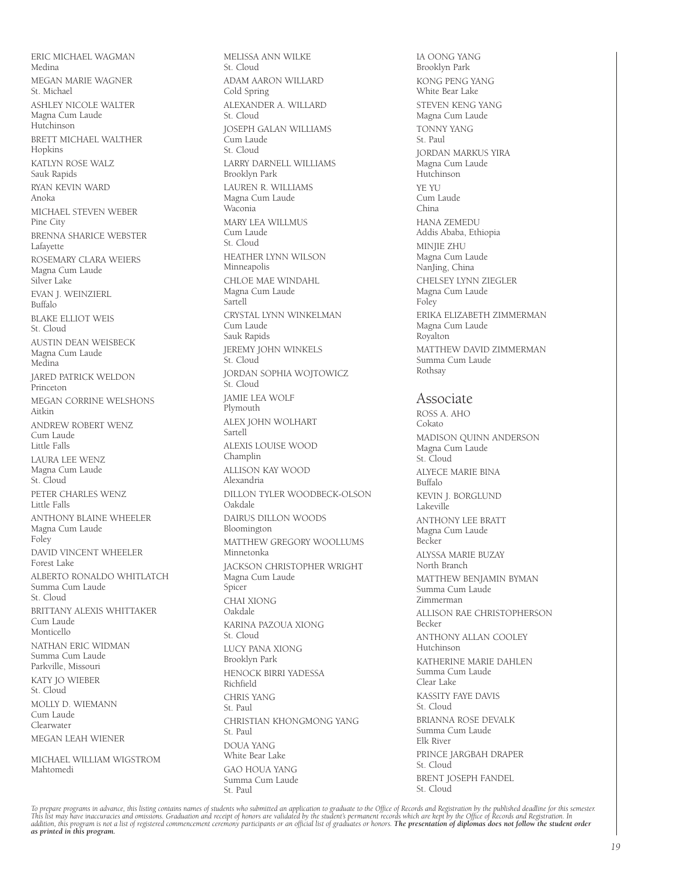ERIC MICHAEL WAGMAN Medina MEGAN MARIE WAGNER St. Michael ASHLEY NICOLE WALTER Magna Cum Laude Hutchinson BRETT MICHAEL WALTHER Hopkins KATLYN ROSE WALZ Sauk Rapids RYAN KEVIN WARD Anoka MICHAEL STEVEN WEBER Pine City BRENNA SHARICE WEBSTER Lafayette ROSEMARY CLARA WEIERS Magna Cum Laude Silver Lake EVAN J. WEINZIERL Buffalo BLAKE ELLIOT WEIS St. Cloud AUSTIN DEAN WEISBECK Magna Cum Laude Medina JARED PATRICK WELDON Princeton MEGAN CORRINE WELSHONS Aitkin ANDREW ROBERT WENZ Cum Laude Little Falls LAURA LEE WENZ Magna Cum Laude St. Cloud PETER CHARLES WENZ Little Falls ANTHONY BLAINE WHEELER Magna Cum Laude Foley DAVID VINCENT WHEELER Forest Lake ALBERTO RONALDO WHITLATCH Summa Cum Laude St. Cloud BRITTANY ALEXIS WHITTAKER Cum Laude Monticello NATHAN ERIC WIDMAN Summa Cum Laude Parkville, Missouri KATY JO WIEBER St. Cloud MOLLY D. WIEMANN Cum Laude Clearwater MEGAN LEAH WIENER MICHAEL WILLIAM WIGSTROM

Mahtomedi

MELISSA ANN WILKE St. Cloud ADAM AARON WILLARD Cold Spring ALEXANDER A. WILLARD St. Cloud JOSEPH GALAN WILLIAMS Cum Laude St. Cloud LARRY DARNELL WILLIAMS Brooklyn Park LAUREN R. WILLIAMS Magna Cum Laude Waconia MARY LEA WILLMUS Cum Laude St. Cloud HEATHER LYNN WILSON Minneapolis CHLOE MAE WINDAHL Magna Cum Laude Sartell CRYSTAL LYNN WINKELMAN Cum Laude Sauk Rapids JEREMY JOHN WINKELS St. Cloud JORDAN SOPHIA WOJTOWICZ St. Cloud JAMIE LEA WOLF Plymouth ALEX JOHN WOLHART Sartell ALEXIS LOUISE WOOD Champlin ALLISON KAY WOOD Alexandria DILLON TYLER WOODBECK-OLSON Oakdale DAIRUS DILLON WOODS Bloomington MATTHEW GREGORY WOOLLUMS Minnetonka JACKSON CHRISTOPHER WRIGHT Magna Cum Laude Spicer CHAI XIONG Oakdale KARINA PAZOUA XIONG St. Cloud LUCY PANA XIONG Brooklyn Park HENOCK BIRRI YADESSA Richfield CHRIS YANG St. Paul CHRISTIAN KHONGMONG YANG St. Paul DOUA YANG White Bear Lake GAO HOUA YANG Summa Cum Laude St. Paul

IA OONG YANG Brooklyn Park KONG PENG YANG White Bear Lake STEVEN KENG YANG Magna Cum Laude TONNY YANG St. Paul JORDAN MARKUS YIRA Magna Cum Laude Hutchinson YE YU Cum Laude China HANA ZEMEDU Addis Ababa, Ethiopia MINJIE ZHU Magna Cum Laude NanJing, China CHELSEY LYNN ZIEGLER Magna Cum Laude Foley ERIKA ELIZABETH ZIMMERMAN Magna Cum Laude Royalton MATTHEW DAVID ZIMMERMAN Summa Cum Laude Rothsay

## Associate

ROSS A. AHO Cokato MADISON QUINN ANDERSON Magna Cum Laude St. Cloud ALYECE MARIE BINA Buffalo KEVIN J. BORGLUND Lakeville ANTHONY LEE BRATT Magna Cum Laude Becker ALYSSA MARIE BUZAY North Branch MATTHEW BENJAMIN BYMAN Summa Cum Laude Zimmerman ALLISON RAE CHRISTOPHERSON Becker ANTHONY ALLAN COOLEY Hutchinson KATHERINE MARIE DAHLEN Summa Cum Laude Clear Lake KASSITY FAYE DAVIS St. Cloud BRIANNA ROSE DEVALK Summa Cum Laude Elk River PRINCE JARGBAH DRAPER St. Cloud BRENT JOSEPH FANDEL St. Cloud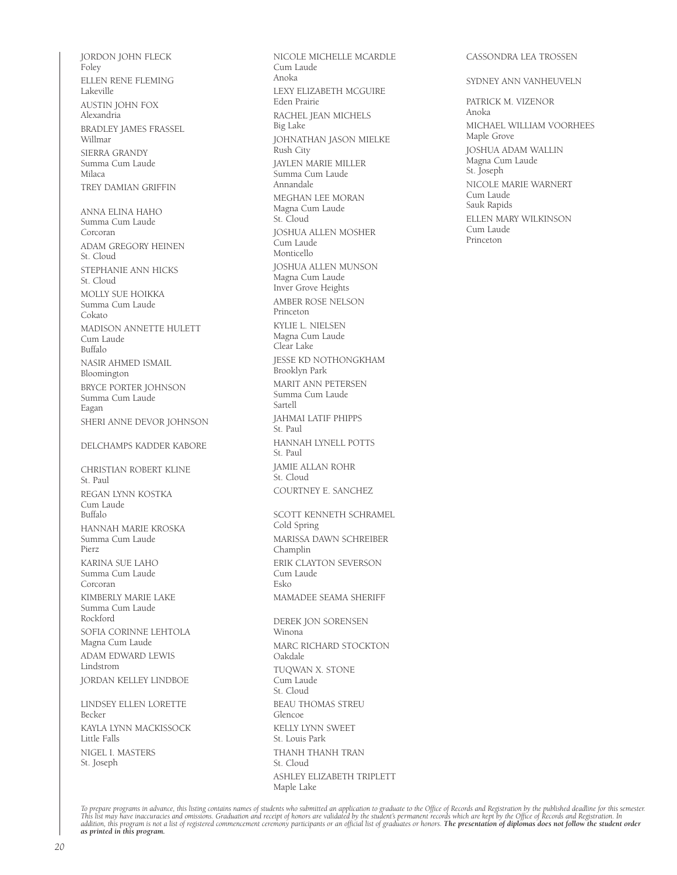JORDON JOHN FLECK Foley ELLEN RENE FLEMING Lakeville AUSTIN JOHN FOX Alexandria BRADLEY JAMES FRASSEL Willmar SIERRA GRANDY Summa Cum Laude Milaca TREY DAMIAN GRIFFIN ANNA ELINA HAHO Summa Cum Laude Corcoran ADAM GREGORY HEINEN St. Cloud STEPHANIE ANN HICKS St. Cloud MOLLY SUE HOIKKA Summa Cum Laude Cokato MADISON ANNETTE HULETT Cum Laude Buffalo NASIR AHMED ISMAIL Bloomington BRYCE PORTER JOHNSON Summa Cum Laude Eagan SHERI ANNE DEVOR JOHNSON DELCHAMPS KADDER KABORE CHRISTIAN ROBERT KLINE St. Paul REGAN LYNN KOSTKA Cum Laude Buffalo HANNAH MARIE KROSKA Summa Cum Laude Pierz KARINA SUE LAHO Summa Cum Laude Corcoran KIMBERLY MARIE LAKE Summa Cum Laude Rockford SOFIA CORINNE LEHTOLA Magna Cum Laude ADAM EDWARD LEWIS Lindstrom JORDAN KELLEY LINDBOE LINDSEY ELLEN LORETTE Becker KAYLA LYNN MACKISSOCK Little Falls

NIGEL I. MASTERS St. Joseph

NICOLE MICHELLE MCARDLE Cum Laude Anoka LEXY ELIZABETH MCGUIRE Eden Prairie RACHEL JEAN MICHELS Big Lake JOHNATHAN JASON MIELKE Rush City JAYLEN MARIE MILLER Summa Cum Laude Annandale MEGHAN LEE MORAN Magna Cum Laude St. Cloud JOSHUA ALLEN MOSHER Cum Laude Monticello JOSHUA ALLEN MUNSON Magna Cum Laude Inver Grove Heights AMBER ROSE NELSON Princeton KYLIE L. NIELSEN Magna Cum Laude Clear Lake JESSE KD NOTHONGKHAM Brooklyn Park MARIT ANN PETERSEN Summa Cum Laude Sartell JAHMAI LATIF PHIPPS St. Paul HANNAH LYNELL POTTS St. Paul JAMIE ALLAN ROHR St. Cloud COURTNEY E. SANCHEZ SCOTT KENNETH SCHRAMEL Cold Spring MARISSA DAWN SCHREIBER Champlin ERIK CLAYTON SEVERSON Cum Laude Esko MAMADEE SEAMA SHERIFF DEREK JON SORENSEN Winona MARC RICHARD STOCKTON Oakdale TUQWAN X. STONE Cum Laude St. Cloud BEAU THOMAS STREU Glencoe KELLY LYNN SWEET St. Louis Park

#### CASSONDRA LEA TROSSEN

#### SYDNEY ANN VANHEUVELN

PATRICK M. VIZENOR Anoka MICHAEL WILLIAM VOORHEES Maple Grove JOSHUA ADAM WALLIN Magna Cum Laude St. Joseph NICOLE MARIE WARNERT Cum Laude Sauk Rapids ELLEN MARY WILKINSON Cum Laude Princeton

To prepare programs in advance, this listing contains names of students who submitted an application to graduate to the Office of Records and Registration by the published deadline for this semester.<br>This list may have ina

THANH THANH TRAN

ASHLEY ELIZABETH TRIPLETT

St. Cloud

Maple Lake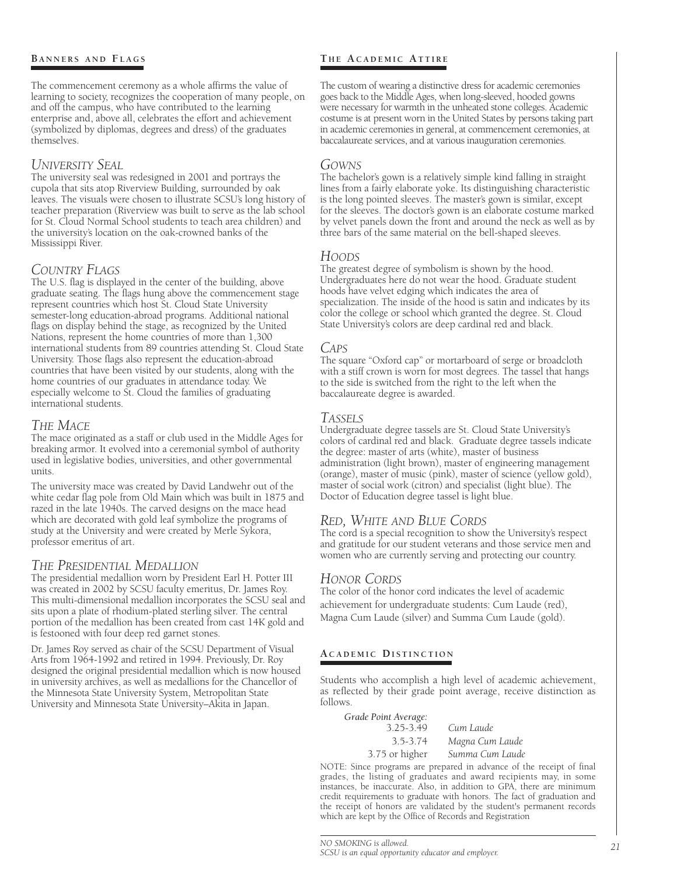#### **BANNERS AND FLAGS**

The commencement ceremony as a whole affirms the value of learning to society, recognizes the cooperation of many people, on and off the campus, who have contributed to the learning enterprise and, above all, celebrates the effort and achievement (symbolized by diplomas, degrees and dress) of the graduates themselves.

## *University Seal*

The university seal was redesigned in 2001 and portrays the cupola that sits atop Riverview Building, surrounded by oak leaves. The visuals were chosen to illustrate SCSU's long history of teacher preparation (Riverview was built to serve as the lab school for St. Cloud Normal School students to teach area children) and the university's location on the oak-crowned banks of the Mississippi River.

## *Country Flags*

The U.S. flag is displayed in the center of the building, above graduate seating. The flags hung above the commencement stage represent countries which host St. Cloud State University semester-long education-abroad programs. Additional national flags on display behind the stage, as recognized by the United Nations, represent the home countries of more than 1,300 international students from 89 countries attending St. Cloud State University. Those flags also represent the education-abroad countries that have been visited by our students, along with the home countries of our graduates in attendance today. We especially welcome to St. Cloud the families of graduating international students.

## *The Mace*

The mace originated as a staff or club used in the Middle Ages for breaking armor. It evolved into a ceremonial symbol of authority used in legislative bodies, universities, and other governmental units.

The university mace was created by David Landwehr out of the white cedar flag pole from Old Main which was built in 1875 and razed in the late 1940s. The carved designs on the mace head which are decorated with gold leaf symbolize the programs of study at the University and were created by Merle Sykora, professor emeritus of art.

#### *The Presidential Medallion*

The presidential medallion worn by President Earl H. Potter III was created in 2002 by SCSU faculty emeritus, Dr. James Roy. This multi-dimensional medallion incorporates the SCSU seal and sits upon a plate of rhodium-plated sterling silver. The central portion of the medallion has been created from cast 14K gold and is festooned with four deep red garnet stones.

Dr. James Roy served as chair of the SCSU Department of Visual Arts from 1964-1992 and retired in 1994. Previously, Dr. Roy designed the original presidential medallion which is now housed in university archives, as well as medallions for the Chancellor of the Minnesota State University System, Metropolitan State University and Minnesota State University–Akita in Japan.

## **T h e A c a d e m i c At t i r e**

The custom of wearing a distinctive dress for academic ceremonies goes back to the Middle Ages, when long-sleeved, hooded gowns were necessary for warmth in the unheated stone colleges. Academic costume is at present worn in the United States by persons taking part in academic ceremonies in general, at commencement ceremonies, at baccalaureate services, and at various inauguration ceremonies.

#### *Gowns*

The bachelor's gown is a relatively simple kind falling in straight lines from a fairly elaborate yoke. Its distinguishing characteristic is the long pointed sleeves. The master's gown is similar, except for the sleeves. The doctor's gown is an elaborate costume marked by velvet panels down the front and around the neck as well as by three bars of the same material on the bell-shaped sleeves.

#### *Hoods*

The greatest degree of symbolism is shown by the hood. Undergraduates here do not wear the hood. Graduate student hoods have velvet edging which indicates the area of specialization. The inside of the hood is satin and indicates by its color the college or school which granted the degree. St. Cloud State University's colors are deep cardinal red and black.

#### *Caps*

The square "Oxford cap" or mortarboard of serge or broadcloth with a stiff crown is worn for most degrees. The tassel that hangs to the side is switched from the right to the left when the baccalaureate degree is awarded.

#### *Tassels*

Undergraduate degree tassels are St. Cloud State University's colors of cardinal red and black. Graduate degree tassels indicate the degree: master of arts (white), master of business administration (light brown), master of engineering management (orange), master of music (pink), master of science (yellow gold), master of social work (citron) and specialist (light blue). The Doctor of Education degree tassel is light blue.

## *Red, White and Blue Cords*

The cord is a special recognition to show the University's respect and gratitude for our student veterans and those service men and women who are currently serving and protecting our country.

## *Honor Cords*

The color of the honor cord indicates the level of academic achievement for undergraduate students: Cum Laude (red), Magna Cum Laude (silver) and Summa Cum Laude (gold).

#### **A c a d e m i c Di s t i n c t i o n**

Students who accomplish a high level of academic achievement, as reflected by their grade point average, receive distinction as follows.

| Grade Point Average: |                 |
|----------------------|-----------------|
| 3.25-3.49            | Cum Laude       |
| 3.5-3.74             | Magna Cum Laude |
| 3.75 or higher       | Summa Cum Laude |

NOTE: Since programs are prepared in advance of the receipt of final grades, the listing of graduates and award recipients may, in some instances, be inaccurate. Also, in addition to GPA, there are minimum credit requirements to graduate with honors. The fact of graduation and the receipt of honors are validated by the student's permanent records which are kept by the Office of Records and Registration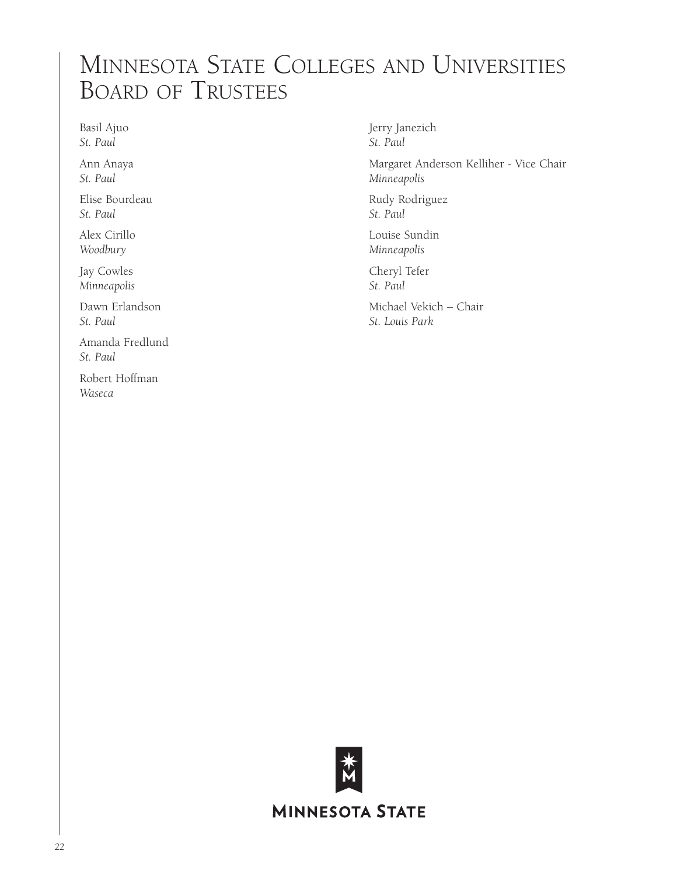## Minnesota State Colleges and Universities Board of Trustees

Basil Ajuo *St. Paul*

Ann Anaya *St. Paul*

Elise Bourdeau *St. Paul*

Alex Cirillo *Woodbury*

Jay Cowles *Minneapolis*

Dawn Erlandson *St. Paul*

Amanda Fredlund *St. Paul*

Robert Hoffman *Waseca*

Jerry Janezich *St. Paul*

Margaret Anderson Kelliher - Vice Chair *Minneapolis*

Rudy Rodriguez *St. Paul*

Louise Sundin *Minneapolis*

Cheryl Tefer *St. Paul*

Michael Vekich – Chair *St. Louis Park*